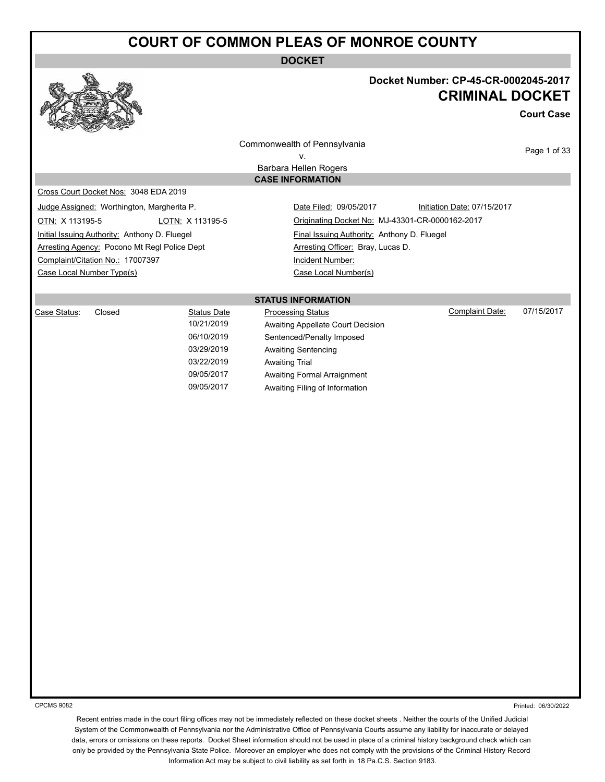**DOCKET**

# **Docket Number: CP-45-CR-0002045-2017 CRIMINAL DOCKET**

**Court Case**

Commonwealth of Pennsylvania v.

Page 1 of 33

Barbara Hellen Rogers **CASE INFORMATION**

Cross Court Docket Nos: 3048 EDA 2019

Judge Assigned: Worthington, Margherita P. Date Filed: 09/05/2017 **Initiation Date: 07/15/2017** 

OTN: X 113195-5 LOTN: X 113195-5 Originating Docket No: MJ-43301-CR-0000162-2017 Initial Issuing Authority: Anthony D. Fluegel Final Issuing Authority: Anthony D. Fluegel Arresting Agency: Pocono Mt Regl Police Dept **Arresting Officer: Bray, Lucas D.** Complaint/Citation No.: 17007397 Incident Number:

Case Local Number Type(s) Case Local Number(s)

**STATUS INFORMATION**

| Case Status: | Closed | Status Date | <b>Processing Status</b>          | Complaint Date: | 07/15/2017 |
|--------------|--------|-------------|-----------------------------------|-----------------|------------|
|              |        | 10/21/2019  | Awaiting Appellate Court Decision |                 |            |
|              |        | 06/10/2019  | Sentenced/Penalty Imposed         |                 |            |
|              |        | 03/29/2019  | Awaiting Sentencing               |                 |            |
|              |        | 03/22/2019  | <b>Awaiting Trial</b>             |                 |            |

aiting Appellate Court Decision ntenced/Penalty Imposed aiting Sentencing aiting Trial 09/05/2017 Awaiting Formal Arraignment 09/05/2017 Awaiting Filing of Information

CPCMS 9082

Printed: 06/30/2022

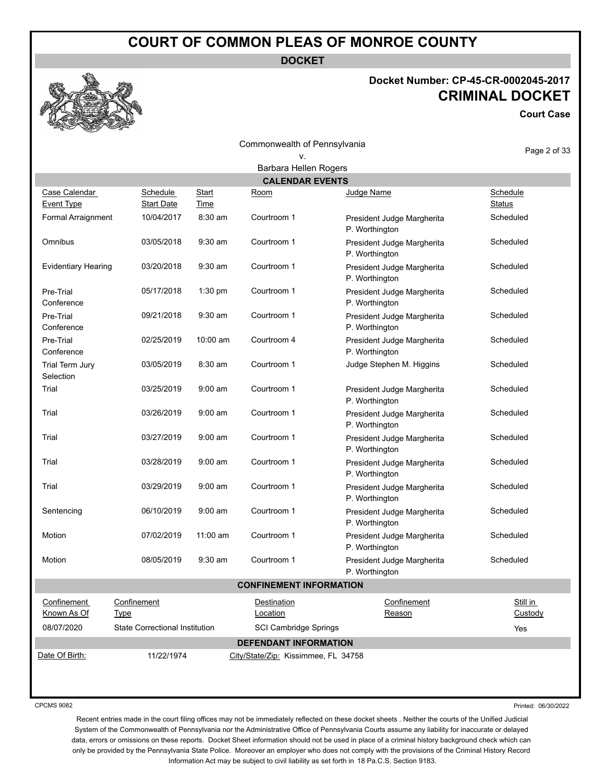**DOCKET**

### **Docket Number: CP-45-CR-0002045-2017 CRIMINAL DOCKET**

**Court Case**

|                                                 |                                       |              | Commonwealth of Pennsylvania        |                                              | Page 2 of 33        |  |  |
|-------------------------------------------------|---------------------------------------|--------------|-------------------------------------|----------------------------------------------|---------------------|--|--|
|                                                 |                                       |              | ٧.                                  |                                              |                     |  |  |
| Barbara Hellen Rogers<br><b>CALENDAR EVENTS</b> |                                       |              |                                     |                                              |                     |  |  |
| Case Calendar                                   | Schedule                              | <b>Start</b> | <u>Room</u>                         | Judge Name                                   | Schedule            |  |  |
| Event Type                                      | <b>Start Date</b>                     | Time         |                                     |                                              | <b>Status</b>       |  |  |
| Formal Arraignment                              | 10/04/2017                            | $8:30$ am    | Courtroom 1                         | President Judge Margherita<br>P. Worthington | Scheduled           |  |  |
| Omnibus                                         | 03/05/2018                            | $9:30$ am    | Courtroom 1                         | President Judge Margherita<br>P. Worthington | Scheduled           |  |  |
| <b>Evidentiary Hearing</b>                      | 03/20/2018                            | $9:30$ am    | Courtroom 1                         | President Judge Margherita<br>P. Worthington | Scheduled           |  |  |
| Pre-Trial<br>Conference                         | 05/17/2018                            | 1:30 pm      | Courtroom 1                         | President Judge Margherita<br>P. Worthington | Scheduled           |  |  |
| Pre-Trial<br>Conference                         | 09/21/2018                            | $9:30$ am    | Courtroom 1                         | President Judge Margherita<br>P. Worthington | Scheduled           |  |  |
| Pre-Trial<br>Conference                         | 02/25/2019                            | 10:00 am     | Courtroom 4                         | President Judge Margherita<br>P. Worthington | Scheduled           |  |  |
| Trial Term Jury<br>Selection                    | 03/05/2019                            | 8:30 am      | Courtroom 1                         | Judge Stephen M. Higgins                     | Scheduled           |  |  |
| Trial                                           | 03/25/2019                            | $9:00$ am    | Courtroom 1                         | President Judge Margherita<br>P. Worthington | Scheduled           |  |  |
| Trial                                           | 03/26/2019                            | $9:00$ am    | Courtroom 1                         | President Judge Margherita<br>P. Worthington | Scheduled           |  |  |
| Trial                                           | 03/27/2019                            | $9:00$ am    | Courtroom 1                         | President Judge Margherita<br>P. Worthington | Scheduled           |  |  |
| Trial                                           | 03/28/2019                            | $9:00$ am    | Courtroom 1                         | President Judge Margherita<br>P. Worthington | Scheduled           |  |  |
| Trial                                           | 03/29/2019                            | $9:00$ am    | Courtroom 1                         | President Judge Margherita<br>P. Worthington | Scheduled           |  |  |
| Sentencing                                      | 06/10/2019                            | $9:00$ am    | Courtroom 1                         | President Judge Margherita<br>P. Worthington | Scheduled           |  |  |
| Motion                                          | 07/02/2019                            | $11:00$ am   | Courtroom 1                         | President Judge Margherita<br>P. Worthington | Scheduled           |  |  |
| Motion                                          | 08/05/2019                            | 9:30 am      | Courtroom 1                         | President Judge Margherita<br>P. Worthington | Scheduled           |  |  |
|                                                 |                                       |              | <b>CONFINEMENT INFORMATION</b>      |                                              |                     |  |  |
| Confinement<br>Known As Of                      | Confinement<br>Type                   |              | Destination<br>Location             | Confinement<br>Reason                        | Still in<br>Custody |  |  |
| 08/07/2020                                      | <b>State Correctional Institution</b> |              | <b>SCI Cambridge Springs</b>        |                                              | Yes                 |  |  |
|                                                 |                                       |              | <b>DEFENDANT INFORMATION</b>        |                                              |                     |  |  |
| Date Of Birth:                                  | 11/22/1974                            |              | City/State/Zip: Kissimmee, FL 34758 |                                              |                     |  |  |

CPCMS 9082

Printed: 06/30/2022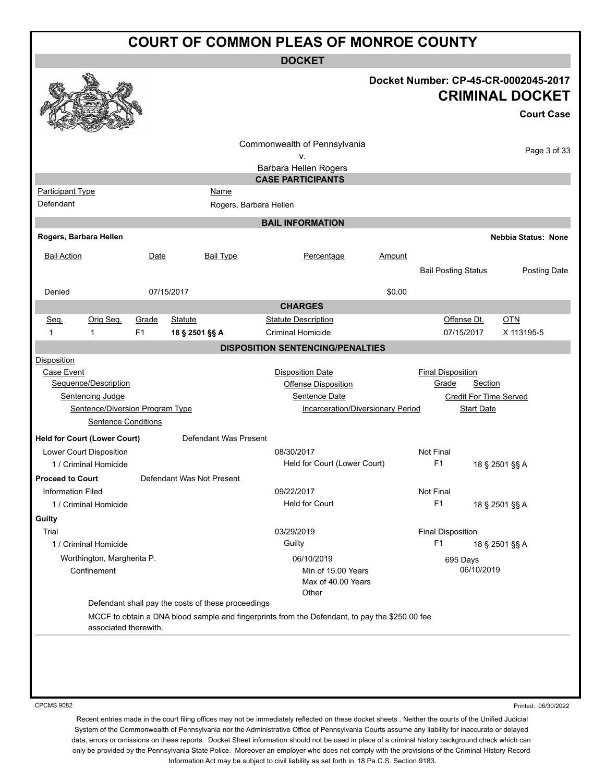**DOCKET**

|                          |                                     |                |                |                                                    |                                                                                                |               |                                   |                               | Docket Number: CP-45-CR-0002045-2017<br><b>CRIMINAL DOCKET</b><br><b>Court Case</b> |
|--------------------------|-------------------------------------|----------------|----------------|----------------------------------------------------|------------------------------------------------------------------------------------------------|---------------|-----------------------------------|-------------------------------|-------------------------------------------------------------------------------------|
|                          |                                     |                |                |                                                    | Commonwealth of Pennsylvania<br>۷.                                                             |               |                                   |                               | Page 3 of 33                                                                        |
|                          |                                     |                |                |                                                    | Barbara Hellen Rogers                                                                          |               |                                   |                               |                                                                                     |
|                          |                                     |                |                |                                                    | <b>CASE PARTICIPANTS</b>                                                                       |               |                                   |                               |                                                                                     |
| <b>Participant Type</b>  |                                     |                |                | Name                                               |                                                                                                |               |                                   |                               |                                                                                     |
| Defendant                |                                     |                |                |                                                    | Rogers, Barbara Hellen                                                                         |               |                                   |                               |                                                                                     |
|                          |                                     |                |                |                                                    | <b>BAIL INFORMATION</b>                                                                        |               |                                   |                               |                                                                                     |
| Rogers, Barbara Hellen   |                                     |                |                |                                                    |                                                                                                |               |                                   |                               | <b>Nebbia Status: None</b>                                                          |
| <b>Bail Action</b>       |                                     | Date           |                | <b>Bail Type</b>                                   | Percentage                                                                                     | <u>Amount</u> |                                   |                               |                                                                                     |
|                          |                                     |                |                |                                                    |                                                                                                |               | <b>Bail Posting Status</b>        |                               | <b>Posting Date</b>                                                                 |
|                          |                                     |                |                |                                                    |                                                                                                |               |                                   |                               |                                                                                     |
| Denied                   |                                     |                | 07/15/2017     |                                                    |                                                                                                | \$0.00        |                                   |                               |                                                                                     |
|                          |                                     |                |                |                                                    | <b>CHARGES</b>                                                                                 |               |                                   |                               |                                                                                     |
| Seq.                     | Orig Seq.                           | Grade          | <b>Statute</b> |                                                    | <b>Statute Description</b>                                                                     |               |                                   | Offense Dt.                   | <b>OTN</b>                                                                          |
| 1                        | 1                                   | F <sub>1</sub> | 18 § 2501 §§ A |                                                    | <b>Criminal Homicide</b>                                                                       |               |                                   | 07/15/2017                    | X 113195-5                                                                          |
|                          |                                     |                |                |                                                    | <b>DISPOSITION SENTENCING/PENALTIES</b>                                                        |               |                                   |                               |                                                                                     |
| <b>Disposition</b>       |                                     |                |                |                                                    |                                                                                                |               |                                   |                               |                                                                                     |
| Case Event               | Sequence/Description                |                |                |                                                    | <b>Disposition Date</b>                                                                        |               | <b>Final Disposition</b><br>Grade | <b>Section</b>                |                                                                                     |
|                          | Sentencing Judge                    |                |                |                                                    | Offense Disposition<br>Sentence Date                                                           |               |                                   | <b>Credit For Time Served</b> |                                                                                     |
|                          | Sentence/Diversion Program Type     |                |                |                                                    | Incarceration/Diversionary Period                                                              |               |                                   | <b>Start Date</b>             |                                                                                     |
|                          | <b>Sentence Conditions</b>          |                |                |                                                    |                                                                                                |               |                                   |                               |                                                                                     |
|                          | <b>Held for Court (Lower Court)</b> |                |                | Defendant Was Present                              |                                                                                                |               |                                   |                               |                                                                                     |
|                          | Lower Court Disposition             |                |                |                                                    | 08/30/2017                                                                                     |               | <b>Not Final</b>                  |                               |                                                                                     |
|                          | 1 / Criminal Homicide               |                |                |                                                    | Held for Court (Lower Court)                                                                   |               | F <sub>1</sub>                    |                               | 18 § 2501 §§ A                                                                      |
| <b>Proceed to Court</b>  |                                     |                |                | Defendant Was Not Present                          |                                                                                                |               |                                   |                               |                                                                                     |
| <b>Information Filed</b> |                                     |                |                |                                                    | 09/22/2017                                                                                     |               | Not Final                         |                               |                                                                                     |
|                          | 1 / Criminal Homicide               |                |                |                                                    | <b>Held for Court</b>                                                                          |               | F <sub>1</sub>                    |                               | 18 § 2501 §§ A                                                                      |
| Guilty                   |                                     |                |                |                                                    |                                                                                                |               |                                   |                               |                                                                                     |
| Trial                    |                                     |                |                |                                                    | 03/29/2019                                                                                     |               | <b>Final Disposition</b>          |                               |                                                                                     |
|                          | 1 / Criminal Homicide               |                |                |                                                    | Guilty                                                                                         |               | F <sub>1</sub>                    |                               | 18 § 2501 §§ A                                                                      |
|                          | Worthington, Margherita P.          |                |                |                                                    | 06/10/2019                                                                                     |               |                                   | 695 Days                      |                                                                                     |
|                          | Confinement                         |                |                |                                                    | Min of 15.00 Years<br>Max of 40.00 Years                                                       |               |                                   | 06/10/2019                    |                                                                                     |
|                          |                                     |                |                | Defendant shall pay the costs of these proceedings | Other                                                                                          |               |                                   |                               |                                                                                     |
|                          | associated therewith.               |                |                |                                                    | MCCF to obtain a DNA blood sample and fingerprints from the Defendant, to pay the \$250.00 fee |               |                                   |                               |                                                                                     |
|                          |                                     |                |                |                                                    |                                                                                                |               |                                   |                               |                                                                                     |

CPCMS 9082

Printed: 06/30/2022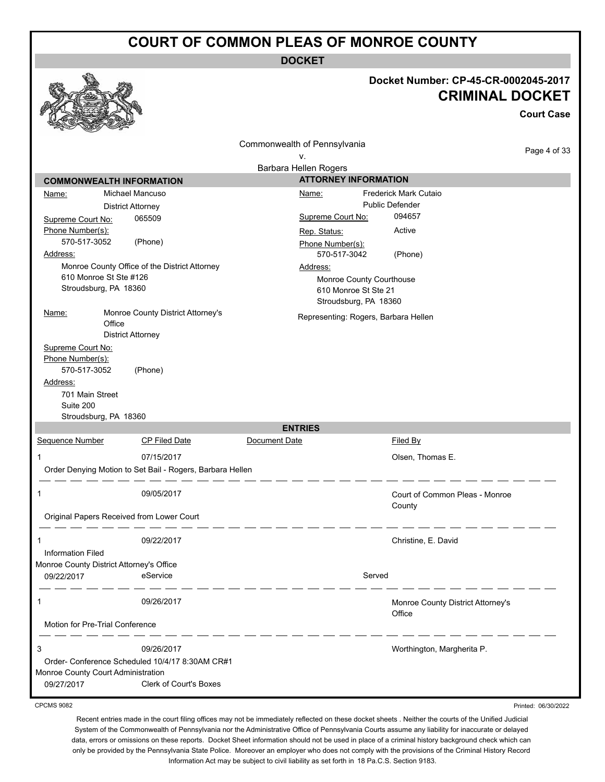**DOCKET**

|                                                  |                                                           |                              | Docket Number: CP-45-CR-0002045-2017<br><b>CRIMINAL DOCKET</b><br><b>Court Case</b> |
|--------------------------------------------------|-----------------------------------------------------------|------------------------------|-------------------------------------------------------------------------------------|
|                                                  |                                                           | Commonwealth of Pennsylvania |                                                                                     |
|                                                  |                                                           | ۷.                           | Page 4 of 33                                                                        |
|                                                  |                                                           | Barbara Hellen Rogers        |                                                                                     |
|                                                  | <b>COMMONWEALTH INFORMATION</b>                           |                              | <b>ATTORNEY INFORMATION</b>                                                         |
| Name:                                            | Michael Mancuso                                           | Name:                        | Frederick Mark Cutaio                                                               |
|                                                  | <b>District Attorney</b>                                  |                              | <b>Public Defender</b>                                                              |
| Supreme Court No:                                | 065509                                                    | Supreme Court No:            | 094657                                                                              |
| Phone Number(s):                                 |                                                           | Rep. Status:                 | Active                                                                              |
| 570-517-3052                                     | (Phone)                                                   | Phone Number(s):             |                                                                                     |
| Address:                                         |                                                           | 570-517-3042                 | (Phone)                                                                             |
|                                                  | Monroe County Office of the District Attorney             | Address:                     |                                                                                     |
| 610 Monroe St Ste #126                           |                                                           |                              | Monroe County Courthouse                                                            |
| Stroudsburg, PA 18360                            |                                                           |                              | 610 Monroe St Ste 21                                                                |
| Name:                                            | Monroe County District Attorney's                         |                              | Stroudsburg, PA 18360<br>Representing: Rogers, Barbara Hellen                       |
|                                                  | Office                                                    |                              |                                                                                     |
|                                                  | <b>District Attorney</b>                                  |                              |                                                                                     |
| Supreme Court No:                                |                                                           |                              |                                                                                     |
| Phone Number(s):<br>570-517-3052                 | (Phone)                                                   |                              |                                                                                     |
| Address:                                         |                                                           |                              |                                                                                     |
| 701 Main Street                                  |                                                           |                              |                                                                                     |
| Suite 200                                        |                                                           |                              |                                                                                     |
| Stroudsburg, PA 18360                            |                                                           |                              |                                                                                     |
|                                                  |                                                           | <b>ENTRIES</b>               |                                                                                     |
| Sequence Number                                  | <b>CP Filed Date</b>                                      | Document Date                | Filed By                                                                            |
| 1                                                | 07/15/2017                                                |                              | Olsen, Thomas E.                                                                    |
|                                                  | Order Denying Motion to Set Bail - Rogers, Barbara Hellen |                              |                                                                                     |
|                                                  |                                                           |                              |                                                                                     |
| 1                                                | 09/05/2017                                                |                              | Court of Common Pleas - Monroe                                                      |
|                                                  |                                                           |                              | County                                                                              |
|                                                  | Original Papers Received from Lower Court                 |                              |                                                                                     |
|                                                  |                                                           |                              |                                                                                     |
| 1<br><b>Information Filed</b>                    | 09/22/2017                                                |                              | Christine, E. David                                                                 |
| Monroe County District Attorney's Office         |                                                           |                              |                                                                                     |
| 09/22/2017                                       | eService                                                  |                              | Served                                                                              |
|                                                  |                                                           |                              |                                                                                     |
| 1                                                | 09/26/2017                                                |                              | Monroe County District Attorney's                                                   |
|                                                  |                                                           |                              | Office                                                                              |
| Motion for Pre-Trial Conference                  |                                                           |                              |                                                                                     |
| 3                                                | 09/26/2017                                                |                              | Worthington, Margherita P.                                                          |
|                                                  | Order- Conference Scheduled 10/4/17 8:30AM CR#1           |                              |                                                                                     |
| Monroe County Court Administration<br>09/27/2017 | Clerk of Court's Boxes                                    |                              |                                                                                     |
|                                                  |                                                           |                              |                                                                                     |

CPCMS 9082

Recent entries made in the court filing offices may not be immediately reflected on these docket sheets . Neither the courts of the Unified Judicial System of the Commonwealth of Pennsylvania nor the Administrative Office of Pennsylvania Courts assume any liability for inaccurate or delayed data, errors or omissions on these reports. Docket Sheet information should not be used in place of a criminal history background check which can only be provided by the Pennsylvania State Police. Moreover an employer who does not comply with the provisions of the Criminal History Record Information Act may be subject to civil liability as set forth in 18 Pa.C.S. Section 9183.

Printed: 06/30/2022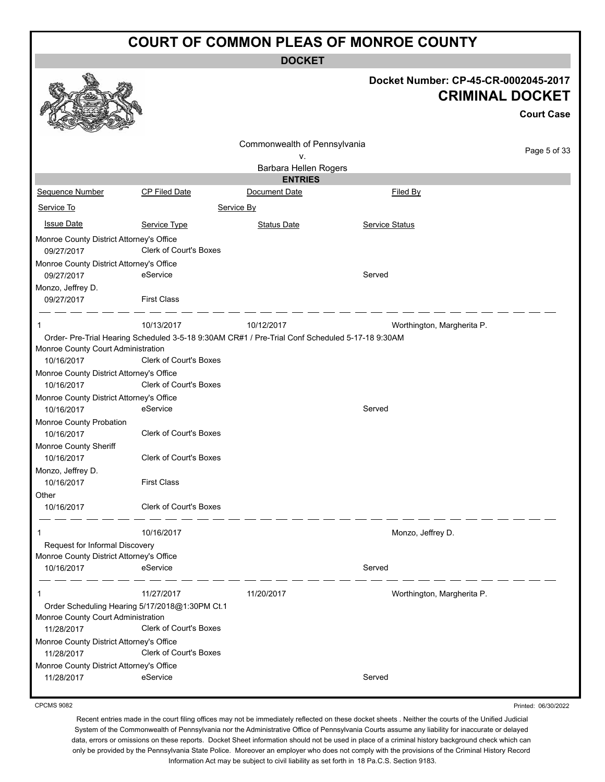**DOCKET**

|                                                                                                    |                               | UUUNE I                                                                                         |                                                                                     |  |
|----------------------------------------------------------------------------------------------------|-------------------------------|-------------------------------------------------------------------------------------------------|-------------------------------------------------------------------------------------|--|
|                                                                                                    |                               |                                                                                                 | Docket Number: CP-45-CR-0002045-2017<br><b>CRIMINAL DOCKET</b><br><b>Court Case</b> |  |
|                                                                                                    |                               | Commonwealth of Pennsylvania<br>۷.                                                              | Page 5 of 33                                                                        |  |
|                                                                                                    |                               | Barbara Hellen Rogers                                                                           |                                                                                     |  |
|                                                                                                    |                               | <b>ENTRIES</b>                                                                                  |                                                                                     |  |
| Sequence Number                                                                                    | <b>CP Filed Date</b>          | Document Date                                                                                   | Filed By                                                                            |  |
| Service To                                                                                         |                               | Service By                                                                                      |                                                                                     |  |
| <b>Issue Date</b>                                                                                  | Service Type                  | <b>Status Date</b>                                                                              | <b>Service Status</b>                                                               |  |
| Monroe County District Attorney's Office                                                           |                               |                                                                                                 |                                                                                     |  |
| 09/27/2017                                                                                         | <b>Clerk of Court's Boxes</b> |                                                                                                 |                                                                                     |  |
| Monroe County District Attorney's Office                                                           |                               |                                                                                                 |                                                                                     |  |
| 09/27/2017                                                                                         | eService                      |                                                                                                 | Served                                                                              |  |
| Monzo, Jeffrey D.<br>09/27/2017                                                                    | <b>First Class</b>            |                                                                                                 |                                                                                     |  |
| 1                                                                                                  | 10/13/2017                    | 10/12/2017                                                                                      | Worthington, Margherita P.                                                          |  |
|                                                                                                    |                               | Order- Pre-Trial Hearing Scheduled 3-5-18 9:30AM CR#1 / Pre-Trial Conf Scheduled 5-17-18 9:30AM |                                                                                     |  |
| Monroe County Court Administration                                                                 |                               |                                                                                                 |                                                                                     |  |
| 10/16/2017                                                                                         | Clerk of Court's Boxes        |                                                                                                 |                                                                                     |  |
| Monroe County District Attorney's Office                                                           | Clerk of Court's Boxes        |                                                                                                 |                                                                                     |  |
| 10/16/2017<br>Monroe County District Attorney's Office                                             |                               |                                                                                                 |                                                                                     |  |
| 10/16/2017                                                                                         | eService                      |                                                                                                 | Served                                                                              |  |
| Monroe County Probation                                                                            |                               |                                                                                                 |                                                                                     |  |
| 10/16/2017                                                                                         | Clerk of Court's Boxes        |                                                                                                 |                                                                                     |  |
| Monroe County Sheriff                                                                              |                               |                                                                                                 |                                                                                     |  |
| 10/16/2017                                                                                         | <b>Clerk of Court's Boxes</b> |                                                                                                 |                                                                                     |  |
| Monzo, Jeffrey D.                                                                                  |                               |                                                                                                 |                                                                                     |  |
| 10/16/2017<br>Other                                                                                | <b>First Class</b>            |                                                                                                 |                                                                                     |  |
| 10/16/2017                                                                                         | Clerk of Court's Boxes        |                                                                                                 |                                                                                     |  |
| 1                                                                                                  | 10/16/2017                    |                                                                                                 | Monzo, Jeffrey D.                                                                   |  |
| Request for Informal Discovery                                                                     |                               |                                                                                                 |                                                                                     |  |
| Monroe County District Attorney's Office                                                           |                               |                                                                                                 |                                                                                     |  |
| 10/16/2017                                                                                         | eService                      |                                                                                                 | Served                                                                              |  |
| 1                                                                                                  | 11/27/2017                    | 11/20/2017                                                                                      | Worthington, Margherita P.                                                          |  |
| Order Scheduling Hearing 5/17/2018@1:30PM Ct.1<br>Monroe County Court Administration<br>11/28/2017 | Clerk of Court's Boxes        |                                                                                                 |                                                                                     |  |
| Monroe County District Attorney's Office                                                           |                               |                                                                                                 |                                                                                     |  |
| 11/28/2017                                                                                         | Clerk of Court's Boxes        |                                                                                                 |                                                                                     |  |
| Monroe County District Attorney's Office                                                           |                               |                                                                                                 |                                                                                     |  |
| 11/28/2017                                                                                         | eService                      |                                                                                                 | Served                                                                              |  |

CPCMS 9082

Printed: 06/30/2022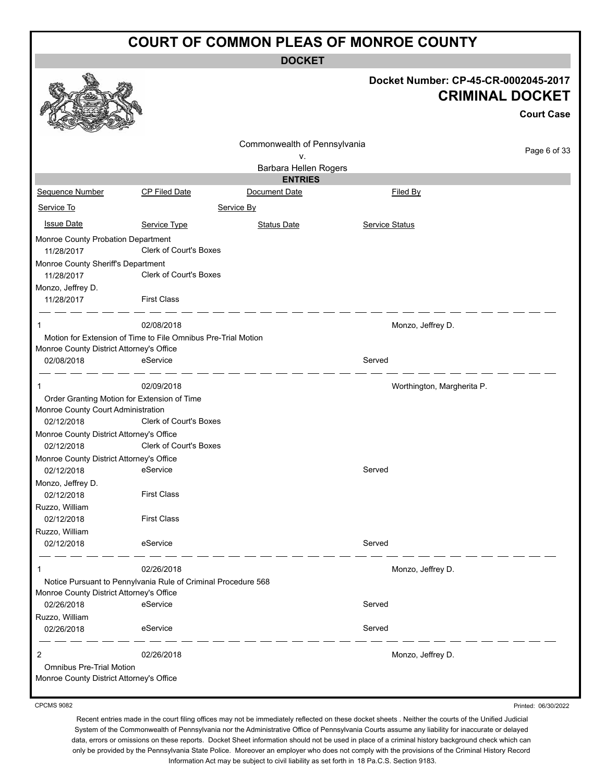**DOCKET**

|                                                               |                               | ו שטש                        |                       |                                                                                     |
|---------------------------------------------------------------|-------------------------------|------------------------------|-----------------------|-------------------------------------------------------------------------------------|
|                                                               |                               |                              |                       | Docket Number: CP-45-CR-0002045-2017<br><b>CRIMINAL DOCKET</b><br><b>Court Case</b> |
|                                                               |                               | Commonwealth of Pennsylvania |                       | Page 6 of 33                                                                        |
|                                                               |                               | ۷.                           |                       |                                                                                     |
|                                                               |                               | Barbara Hellen Rogers        |                       |                                                                                     |
|                                                               |                               | <b>ENTRIES</b>               |                       |                                                                                     |
| Sequence Number                                               | CP Filed Date                 | Document Date                |                       | <b>Filed By</b>                                                                     |
| Service To                                                    |                               | Service By                   |                       |                                                                                     |
| <b>Issue Date</b>                                             | Service Type                  | <b>Status Date</b>           | <b>Service Status</b> |                                                                                     |
| Monroe County Probation Department                            |                               |                              |                       |                                                                                     |
| 11/28/2017                                                    | <b>Clerk of Court's Boxes</b> |                              |                       |                                                                                     |
| Monroe County Sheriff's Department                            |                               |                              |                       |                                                                                     |
| 11/28/2017                                                    | <b>Clerk of Court's Boxes</b> |                              |                       |                                                                                     |
| Monzo, Jeffrey D.                                             |                               |                              |                       |                                                                                     |
| 11/28/2017                                                    | <b>First Class</b>            |                              |                       |                                                                                     |
| 1                                                             | 02/08/2018                    |                              |                       |                                                                                     |
| Motion for Extension of Time to File Omnibus Pre-Trial Motion |                               |                              |                       | Monzo, Jeffrey D.                                                                   |
| Monroe County District Attorney's Office                      |                               |                              |                       |                                                                                     |
| 02/08/2018                                                    | eService                      |                              | Served                |                                                                                     |
|                                                               |                               |                              |                       |                                                                                     |
| $\mathbf{1}$                                                  | 02/09/2018                    |                              |                       | Worthington, Margherita P.                                                          |
| Order Granting Motion for Extension of Time                   |                               |                              |                       |                                                                                     |
| Monroe County Court Administration                            |                               |                              |                       |                                                                                     |
| 02/12/2018                                                    | Clerk of Court's Boxes        |                              |                       |                                                                                     |
| Monroe County District Attorney's Office<br>02/12/2018        | Clerk of Court's Boxes        |                              |                       |                                                                                     |
| Monroe County District Attorney's Office                      |                               |                              |                       |                                                                                     |
| 02/12/2018                                                    | eService                      |                              | Served                |                                                                                     |
| Monzo, Jeffrey D.                                             |                               |                              |                       |                                                                                     |
| 02/12/2018                                                    | <b>First Class</b>            |                              |                       |                                                                                     |
| Ruzzo, William                                                |                               |                              |                       |                                                                                     |
| 02/12/2018                                                    | <b>First Class</b>            |                              |                       |                                                                                     |
| Ruzzo, William                                                |                               |                              |                       |                                                                                     |
| 02/12/2018                                                    | eService                      |                              | Served                |                                                                                     |
| 1                                                             | 02/26/2018                    |                              |                       | Monzo, Jeffrey D.                                                                   |
| Notice Pursuant to Pennylvania Rule of Criminal Procedure 568 |                               |                              |                       |                                                                                     |
| Monroe County District Attorney's Office                      |                               |                              |                       |                                                                                     |
| 02/26/2018                                                    | eService                      |                              | Served                |                                                                                     |
| Ruzzo, William                                                |                               |                              |                       |                                                                                     |
| 02/26/2018                                                    | eService                      |                              | Served                |                                                                                     |
| 2                                                             | 02/26/2018                    |                              |                       | Monzo, Jeffrey D.                                                                   |
| <b>Omnibus Pre-Trial Motion</b>                               |                               |                              |                       |                                                                                     |
| Monroe County District Attorney's Office                      |                               |                              |                       |                                                                                     |
|                                                               |                               |                              |                       |                                                                                     |

CPCMS 9082

Printed: 06/30/2022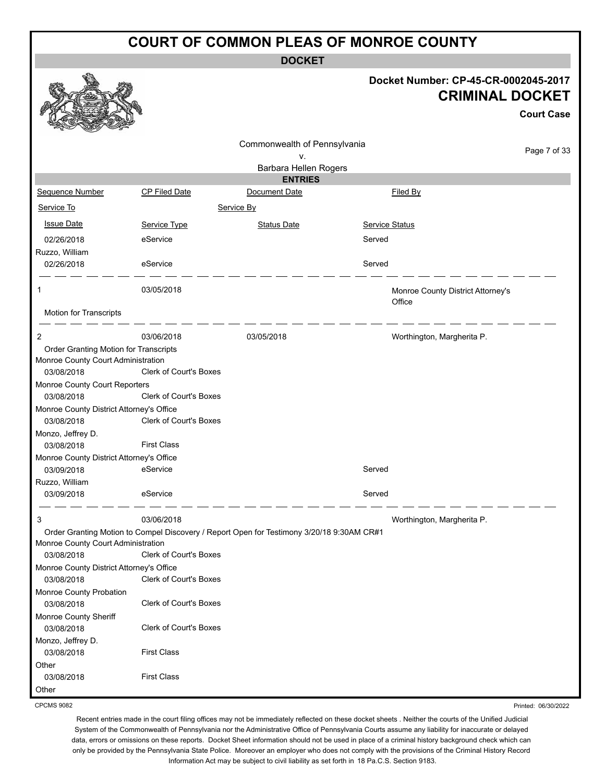**DOCKET**

#### **Docket Number: CP-45-CR-0002045-2017 CRIMINAL DOCKET**

|                                                        |                                                                                           |                              |                       |                                             | <b>Court Case</b> |
|--------------------------------------------------------|-------------------------------------------------------------------------------------------|------------------------------|-----------------------|---------------------------------------------|-------------------|
|                                                        |                                                                                           | Commonwealth of Pennsylvania |                       |                                             | Page 7 of 33      |
|                                                        |                                                                                           | ٧.                           |                       |                                             |                   |
|                                                        |                                                                                           | Barbara Hellen Rogers        |                       |                                             |                   |
|                                                        |                                                                                           | <b>ENTRIES</b>               |                       |                                             |                   |
| Sequence Number                                        | <b>CP Filed Date</b>                                                                      | Document Date                |                       | Filed By                                    |                   |
| Service To                                             |                                                                                           | Service By                   |                       |                                             |                   |
| <b>Issue Date</b>                                      | Service Type                                                                              | <b>Status Date</b>           | <b>Service Status</b> |                                             |                   |
| 02/26/2018                                             | eService                                                                                  |                              | Served                |                                             |                   |
| Ruzzo, William                                         |                                                                                           |                              |                       |                                             |                   |
| 02/26/2018                                             | eService                                                                                  |                              | Served                |                                             |                   |
| 1                                                      | 03/05/2018                                                                                |                              |                       | Monroe County District Attorney's<br>Office |                   |
| Motion for Transcripts                                 |                                                                                           |                              |                       |                                             |                   |
| 2                                                      | 03/06/2018                                                                                | 03/05/2018                   |                       | Worthington, Margherita P.                  |                   |
| Order Granting Motion for Transcripts                  |                                                                                           |                              |                       |                                             |                   |
| Monroe County Court Administration                     |                                                                                           |                              |                       |                                             |                   |
| 03/08/2018                                             | Clerk of Court's Boxes                                                                    |                              |                       |                                             |                   |
| Monroe County Court Reporters                          |                                                                                           |                              |                       |                                             |                   |
| 03/08/2018                                             | <b>Clerk of Court's Boxes</b>                                                             |                              |                       |                                             |                   |
| Monroe County District Attorney's Office               | Clerk of Court's Boxes                                                                    |                              |                       |                                             |                   |
| 03/08/2018                                             |                                                                                           |                              |                       |                                             |                   |
| Monzo, Jeffrey D.<br>03/08/2018                        | <b>First Class</b>                                                                        |                              |                       |                                             |                   |
|                                                        |                                                                                           |                              |                       |                                             |                   |
| Monroe County District Attorney's Office<br>03/09/2018 | eService                                                                                  |                              | Served                |                                             |                   |
|                                                        |                                                                                           |                              |                       |                                             |                   |
| Ruzzo, William<br>03/09/2018                           | eService                                                                                  |                              | Served                |                                             |                   |
|                                                        |                                                                                           |                              |                       |                                             |                   |
| 3                                                      | 03/06/2018                                                                                |                              |                       | Worthington, Margherita P.                  |                   |
|                                                        | Order Granting Motion to Compel Discovery / Report Open for Testimony 3/20/18 9:30AM CR#1 |                              |                       |                                             |                   |
| Monroe County Court Administration                     |                                                                                           |                              |                       |                                             |                   |
| 03/08/2018                                             | Clerk of Court's Boxes                                                                    |                              |                       |                                             |                   |
| Monroe County District Attorney's Office               |                                                                                           |                              |                       |                                             |                   |
| 03/08/2018                                             | Clerk of Court's Boxes                                                                    |                              |                       |                                             |                   |
| Monroe County Probation                                |                                                                                           |                              |                       |                                             |                   |
| 03/08/2018                                             | Clerk of Court's Boxes                                                                    |                              |                       |                                             |                   |
| Monroe County Sheriff                                  |                                                                                           |                              |                       |                                             |                   |
| 03/08/2018                                             | Clerk of Court's Boxes                                                                    |                              |                       |                                             |                   |
| Monzo, Jeffrey D.                                      |                                                                                           |                              |                       |                                             |                   |
| 03/08/2018                                             | <b>First Class</b>                                                                        |                              |                       |                                             |                   |
| Other                                                  |                                                                                           |                              |                       |                                             |                   |
| 03/08/2018                                             | <b>First Class</b>                                                                        |                              |                       |                                             |                   |
| Other                                                  |                                                                                           |                              |                       |                                             |                   |

CPCMS 9082

Recent entries made in the court filing offices may not be immediately reflected on these docket sheets . Neither the courts of the Unified Judicial System of the Commonwealth of Pennsylvania nor the Administrative Office of Pennsylvania Courts assume any liability for inaccurate or delayed data, errors or omissions on these reports. Docket Sheet information should not be used in place of a criminal history background check which can only be provided by the Pennsylvania State Police. Moreover an employer who does not comply with the provisions of the Criminal History Record Information Act may be subject to civil liability as set forth in 18 Pa.C.S. Section 9183.

Printed: 06/30/2022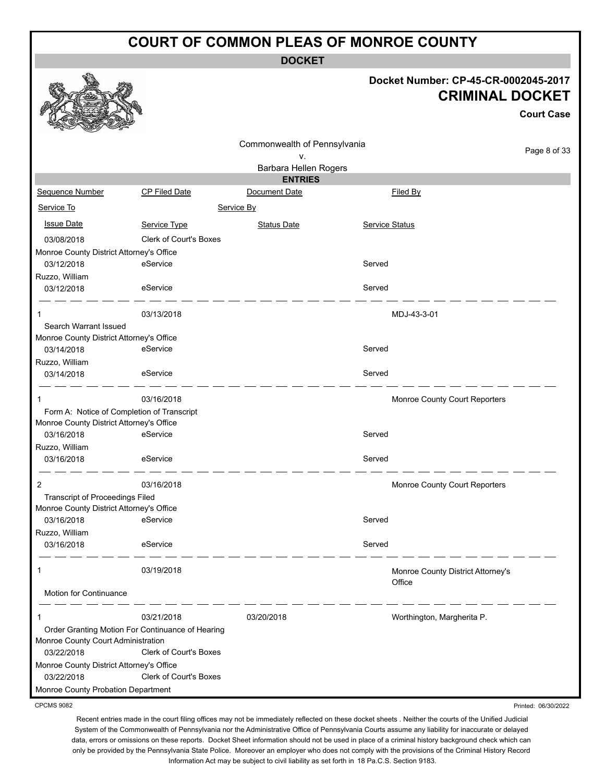**DOCKET**

#### **Docket Number: CP-45-CR-0002045-2017 CRIMINAL DOCKET**

**Court Case**

|                                          |                                                  |                              |                                             | ouurt case          |
|------------------------------------------|--------------------------------------------------|------------------------------|---------------------------------------------|---------------------|
|                                          |                                                  | Commonwealth of Pennsylvania |                                             |                     |
|                                          |                                                  | ۷.                           |                                             | Page 8 of 33        |
|                                          |                                                  | Barbara Hellen Rogers        |                                             |                     |
|                                          |                                                  | <b>ENTRIES</b>               |                                             |                     |
| Sequence Number                          | <b>CP Filed Date</b>                             | Document Date                | Filed By                                    |                     |
| Service To                               |                                                  | Service By                   |                                             |                     |
| <b>Issue Date</b>                        | Service Type                                     | <b>Status Date</b>           | Service Status                              |                     |
| 03/08/2018                               | <b>Clerk of Court's Boxes</b>                    |                              |                                             |                     |
| Monroe County District Attorney's Office |                                                  |                              |                                             |                     |
| 03/12/2018                               | eService                                         |                              | Served                                      |                     |
| Ruzzo, William                           |                                                  |                              |                                             |                     |
| 03/12/2018                               | eService                                         |                              | Served                                      |                     |
|                                          | 03/13/2018                                       |                              | MDJ-43-3-01                                 |                     |
| Search Warrant Issued                    |                                                  |                              |                                             |                     |
| Monroe County District Attorney's Office |                                                  |                              |                                             |                     |
| 03/14/2018                               | eService                                         |                              | Served                                      |                     |
| Ruzzo, William                           |                                                  |                              |                                             |                     |
| 03/14/2018                               | eService                                         |                              | Served                                      |                     |
| 1                                        | 03/16/2018                                       |                              | Monroe County Court Reporters               |                     |
|                                          | Form A: Notice of Completion of Transcript       |                              |                                             |                     |
| Monroe County District Attorney's Office |                                                  |                              |                                             |                     |
| 03/16/2018                               | eService                                         |                              | Served                                      |                     |
| Ruzzo, William                           |                                                  |                              |                                             |                     |
| 03/16/2018                               | eService                                         |                              | Served                                      |                     |
| $\overline{2}$                           | 03/16/2018                                       |                              | Monroe County Court Reporters               |                     |
| Transcript of Proceedings Filed          |                                                  |                              |                                             |                     |
| Monroe County District Attorney's Office |                                                  |                              |                                             |                     |
| 03/16/2018                               | eService                                         |                              | Served                                      |                     |
| Ruzzo, William<br>03/16/2018             | eService                                         |                              | Served                                      |                     |
|                                          |                                                  |                              |                                             |                     |
| 1                                        | 03/19/2018                                       |                              | Monroe County District Attorney's<br>Office |                     |
| Motion for Continuance                   |                                                  |                              |                                             |                     |
| 1                                        | 03/21/2018                                       | 03/20/2018                   | Worthington, Margherita P.                  |                     |
| Monroe County Court Administration       | Order Granting Motion For Continuance of Hearing |                              |                                             |                     |
| 03/22/2018                               | Clerk of Court's Boxes                           |                              |                                             |                     |
| Monroe County District Attorney's Office |                                                  |                              |                                             |                     |
| 03/22/2018                               | Clerk of Court's Boxes                           |                              |                                             |                     |
| Monroe County Probation Department       |                                                  |                              |                                             |                     |
| <b>CPCMS 9082</b>                        |                                                  |                              |                                             | Printed: 06/30/2022 |

CPCMS 9082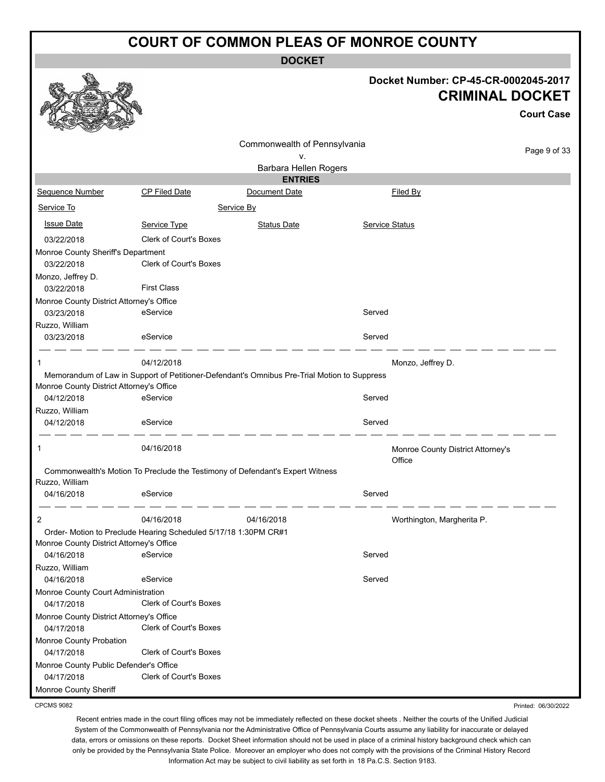**DOCKET**

#### **Docket Number: CP-45-CR-0002045-2017 CRIMINAL DOCKET**

**Court Case**

Printed: 06/30/2022

|                                          |                                                                                             |                              |                                             | συμι σαρσ    |
|------------------------------------------|---------------------------------------------------------------------------------------------|------------------------------|---------------------------------------------|--------------|
|                                          |                                                                                             | Commonwealth of Pennsylvania |                                             |              |
|                                          |                                                                                             | ۷.                           |                                             | Page 9 of 33 |
|                                          |                                                                                             | Barbara Hellen Rogers        |                                             |              |
|                                          |                                                                                             | <b>ENTRIES</b>               |                                             |              |
| <b>Sequence Number</b>                   | <b>CP Filed Date</b>                                                                        | Document Date                | Filed By                                    |              |
| Service To                               |                                                                                             | Service By                   |                                             |              |
| <b>Issue Date</b>                        | Service Type                                                                                | <b>Status Date</b>           | <b>Service Status</b>                       |              |
| 03/22/2018                               | <b>Clerk of Court's Boxes</b>                                                               |                              |                                             |              |
| Monroe County Sheriff's Department       |                                                                                             |                              |                                             |              |
| 03/22/2018                               | Clerk of Court's Boxes                                                                      |                              |                                             |              |
| Monzo, Jeffrey D.                        |                                                                                             |                              |                                             |              |
| 03/22/2018                               | <b>First Class</b>                                                                          |                              |                                             |              |
| Monroe County District Attorney's Office |                                                                                             |                              |                                             |              |
| 03/23/2018                               | eService                                                                                    |                              | Served                                      |              |
| Ruzzo, William                           |                                                                                             |                              |                                             |              |
| 03/23/2018                               | eService                                                                                    |                              | Served                                      |              |
| 1                                        | 04/12/2018                                                                                  |                              | Monzo, Jeffrey D.                           |              |
|                                          | Memorandum of Law in Support of Petitioner-Defendant's Omnibus Pre-Trial Motion to Suppress |                              |                                             |              |
| Monroe County District Attorney's Office |                                                                                             |                              |                                             |              |
| 04/12/2018                               | eService                                                                                    |                              | Served                                      |              |
| Ruzzo, William                           |                                                                                             |                              |                                             |              |
| 04/12/2018                               | eService                                                                                    |                              | Served                                      |              |
| 1                                        | 04/16/2018                                                                                  |                              | Monroe County District Attorney's<br>Office |              |
|                                          | Commonwealth's Motion To Preclude the Testimony of Defendant's Expert Witness               |                              |                                             |              |
| Ruzzo, William                           |                                                                                             |                              |                                             |              |
| 04/16/2018                               | eService                                                                                    |                              | Served                                      |              |
| 2                                        | 04/16/2018                                                                                  | 04/16/2018                   | Worthington, Margherita P.                  |              |
|                                          | Order- Motion to Preclude Hearing Scheduled 5/17/18 1:30PM CR#1                             |                              |                                             |              |
| Monroe County District Attorney's Office |                                                                                             |                              |                                             |              |
| 04/16/2018                               | eService                                                                                    |                              | Served                                      |              |
| Ruzzo, William                           |                                                                                             |                              |                                             |              |
| 04/16/2018                               | eService                                                                                    |                              | Served                                      |              |
| Monroe County Court Administration       |                                                                                             |                              |                                             |              |
| 04/17/2018                               | Clerk of Court's Boxes                                                                      |                              |                                             |              |
| Monroe County District Attorney's Office |                                                                                             |                              |                                             |              |
| 04/17/2018                               | Clerk of Court's Boxes                                                                      |                              |                                             |              |
| Monroe County Probation                  |                                                                                             |                              |                                             |              |
| 04/17/2018                               | Clerk of Court's Boxes                                                                      |                              |                                             |              |
| Monroe County Public Defender's Office   |                                                                                             |                              |                                             |              |
| 04/17/2018                               | <b>Clerk of Court's Boxes</b>                                                               |                              |                                             |              |
| Monroe County Sheriff                    |                                                                                             |                              |                                             |              |

CPCMS 9082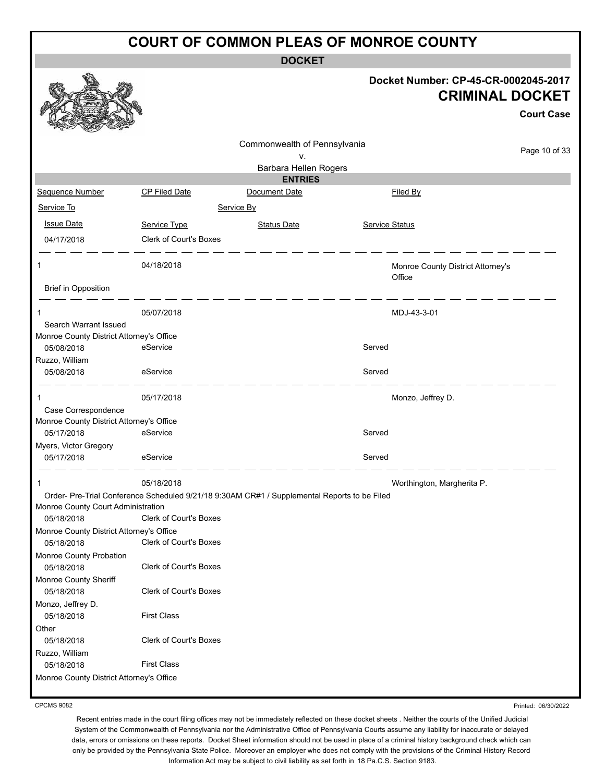**DOCKET**

|                                          |                               | <b>DOCKEI</b>                                                                                |                |                                                                                     |
|------------------------------------------|-------------------------------|----------------------------------------------------------------------------------------------|----------------|-------------------------------------------------------------------------------------|
|                                          |                               |                                                                                              |                | Docket Number: CP-45-CR-0002045-2017<br><b>CRIMINAL DOCKET</b><br><b>Court Case</b> |
|                                          |                               |                                                                                              |                |                                                                                     |
|                                          |                               |                                                                                              |                |                                                                                     |
|                                          |                               | Commonwealth of Pennsylvania                                                                 |                | Page 10 of 33                                                                       |
|                                          |                               | v.                                                                                           |                |                                                                                     |
|                                          |                               | Barbara Hellen Rogers<br><b>ENTRIES</b>                                                      |                |                                                                                     |
| Sequence Number                          | CP Filed Date                 | Document Date                                                                                |                | Filed By                                                                            |
| Service To                               |                               | Service By                                                                                   |                |                                                                                     |
|                                          |                               |                                                                                              |                |                                                                                     |
| <b>Issue Date</b>                        | Service Type                  | <b>Status Date</b>                                                                           | Service Status |                                                                                     |
| 04/17/2018                               | <b>Clerk of Court's Boxes</b> |                                                                                              |                |                                                                                     |
|                                          |                               |                                                                                              |                |                                                                                     |
| 1                                        | 04/18/2018                    |                                                                                              |                | Monroe County District Attorney's                                                   |
|                                          |                               |                                                                                              |                | Office                                                                              |
| <b>Brief in Opposition</b>               |                               |                                                                                              |                |                                                                                     |
| 1                                        | 05/07/2018                    |                                                                                              |                | MDJ-43-3-01                                                                         |
| Search Warrant Issued                    |                               |                                                                                              |                |                                                                                     |
| Monroe County District Attorney's Office |                               |                                                                                              |                |                                                                                     |
| 05/08/2018                               | eService                      |                                                                                              | Served         |                                                                                     |
| Ruzzo, William                           |                               |                                                                                              |                |                                                                                     |
| 05/08/2018                               | eService                      |                                                                                              | Served         |                                                                                     |
|                                          |                               |                                                                                              |                |                                                                                     |
|                                          | 05/17/2018                    |                                                                                              |                | Monzo, Jeffrey D.                                                                   |
| Case Correspondence                      |                               |                                                                                              |                |                                                                                     |
| Monroe County District Attorney's Office | eService                      |                                                                                              |                |                                                                                     |
| 05/17/2018                               |                               |                                                                                              | Served         |                                                                                     |
| Myers, Victor Gregory<br>05/17/2018      | eService                      |                                                                                              | Served         |                                                                                     |
|                                          |                               |                                                                                              |                |                                                                                     |
|                                          | 05/18/2018                    |                                                                                              |                | Worthington, Margherita P.                                                          |
|                                          |                               | Order- Pre-Trial Conference Scheduled 9/21/18 9:30AM CR#1 / Supplemental Reports to be Filed |                |                                                                                     |
| Monroe County Court Administration       |                               |                                                                                              |                |                                                                                     |
| 05/18/2018                               | <b>Clerk of Court's Boxes</b> |                                                                                              |                |                                                                                     |
| Monroe County District Attorney's Office |                               |                                                                                              |                |                                                                                     |
| 05/18/2018                               | Clerk of Court's Boxes        |                                                                                              |                |                                                                                     |
| Monroe County Probation                  |                               |                                                                                              |                |                                                                                     |
| 05/18/2018                               | Clerk of Court's Boxes        |                                                                                              |                |                                                                                     |
| Monroe County Sheriff                    |                               |                                                                                              |                |                                                                                     |
| 05/18/2018                               | Clerk of Court's Boxes        |                                                                                              |                |                                                                                     |
| Monzo, Jeffrey D.                        |                               |                                                                                              |                |                                                                                     |
| 05/18/2018                               | <b>First Class</b>            |                                                                                              |                |                                                                                     |
| Other<br>05/18/2018                      | Clerk of Court's Boxes        |                                                                                              |                |                                                                                     |
| Ruzzo, William                           |                               |                                                                                              |                |                                                                                     |
| 05/18/2018                               | <b>First Class</b>            |                                                                                              |                |                                                                                     |
| Monroe County District Attorney's Office |                               |                                                                                              |                |                                                                                     |
|                                          |                               |                                                                                              |                |                                                                                     |

CPCMS 9082

Printed: 06/30/2022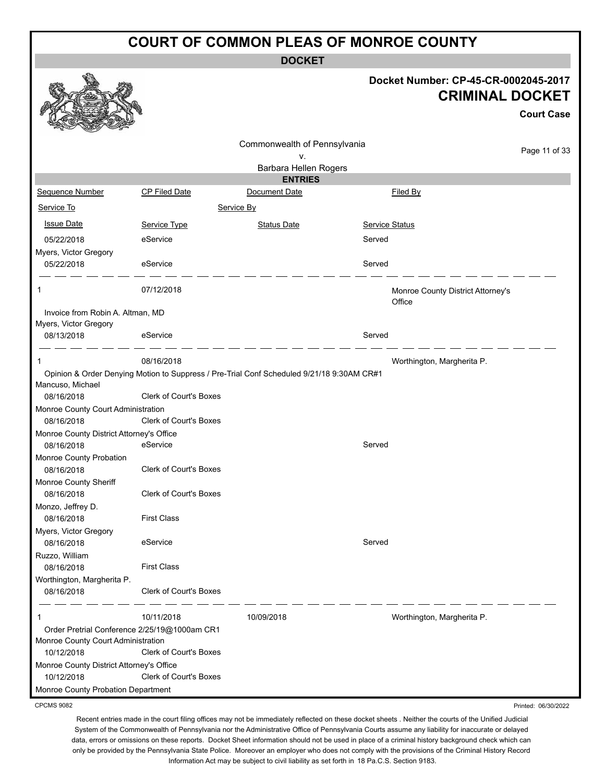**DOCKET**

#### **Docket Number: CP-45-CR-0002045-2017 CRIMINAL DOCKET**

Printed: 06/30/2022

|                                                        |                                              |                                                                                           |                |                                             | <b>Court Case</b> |
|--------------------------------------------------------|----------------------------------------------|-------------------------------------------------------------------------------------------|----------------|---------------------------------------------|-------------------|
|                                                        |                                              | Commonwealth of Pennsylvania<br>۷.                                                        |                |                                             | Page 11 of 33     |
|                                                        |                                              | Barbara Hellen Rogers                                                                     |                |                                             |                   |
|                                                        |                                              | <b>ENTRIES</b>                                                                            |                |                                             |                   |
| Sequence Number                                        | CP Filed Date                                | Document Date                                                                             |                | Filed By                                    |                   |
| Service To                                             |                                              | Service By                                                                                |                |                                             |                   |
| <b>Issue Date</b>                                      | Service Type                                 | <b>Status Date</b>                                                                        | Service Status |                                             |                   |
| 05/22/2018                                             | eService                                     |                                                                                           | Served         |                                             |                   |
| Myers, Victor Gregory                                  |                                              |                                                                                           |                |                                             |                   |
| 05/22/2018                                             | eService                                     |                                                                                           | Served         |                                             |                   |
| 1                                                      | 07/12/2018                                   |                                                                                           |                | Monroe County District Attorney's<br>Office |                   |
| Invoice from Robin A. Altman, MD                       |                                              |                                                                                           |                |                                             |                   |
| Myers, Victor Gregory<br>08/13/2018                    | eService                                     |                                                                                           | Served         |                                             |                   |
|                                                        |                                              |                                                                                           |                |                                             |                   |
| 1                                                      | 08/16/2018                                   |                                                                                           |                | Worthington, Margherita P.                  |                   |
|                                                        |                                              | Opinion & Order Denying Motion to Suppress / Pre-Trial Conf Scheduled 9/21/18 9:30AM CR#1 |                |                                             |                   |
| Mancuso, Michael                                       |                                              |                                                                                           |                |                                             |                   |
| 08/16/2018                                             | Clerk of Court's Boxes                       |                                                                                           |                |                                             |                   |
| Monroe County Court Administration                     |                                              |                                                                                           |                |                                             |                   |
| 08/16/2018                                             | Clerk of Court's Boxes                       |                                                                                           |                |                                             |                   |
| Monroe County District Attorney's Office<br>08/16/2018 | eService                                     |                                                                                           | Served         |                                             |                   |
| Monroe County Probation                                |                                              |                                                                                           |                |                                             |                   |
| 08/16/2018                                             | <b>Clerk of Court's Boxes</b>                |                                                                                           |                |                                             |                   |
| Monroe County Sheriff                                  |                                              |                                                                                           |                |                                             |                   |
| 08/16/2018                                             | <b>Clerk of Court's Boxes</b>                |                                                                                           |                |                                             |                   |
| Monzo, Jeffrey D.                                      |                                              |                                                                                           |                |                                             |                   |
| 08/16/2018                                             | <b>First Class</b>                           |                                                                                           |                |                                             |                   |
| Myers, Victor Gregory                                  |                                              |                                                                                           |                |                                             |                   |
| 08/16/2018                                             | eService                                     |                                                                                           | Served         |                                             |                   |
| Ruzzo, William                                         |                                              |                                                                                           |                |                                             |                   |
| 08/16/2018                                             | <b>First Class</b>                           |                                                                                           |                |                                             |                   |
| Worthington, Margherita P.                             |                                              |                                                                                           |                |                                             |                   |
| 08/16/2018                                             | Clerk of Court's Boxes                       |                                                                                           |                |                                             |                   |
| 1                                                      | 10/11/2018                                   | 10/09/2018                                                                                |                | Worthington, Margherita P.                  |                   |
|                                                        | Order Pretrial Conference 2/25/19@1000am CR1 |                                                                                           |                |                                             |                   |
| Monroe County Court Administration                     |                                              |                                                                                           |                |                                             |                   |
| 10/12/2018                                             | Clerk of Court's Boxes                       |                                                                                           |                |                                             |                   |
| Monroe County District Attorney's Office<br>10/12/2018 | Clerk of Court's Boxes                       |                                                                                           |                |                                             |                   |
| Monroe County Probation Department                     |                                              |                                                                                           |                |                                             |                   |
|                                                        |                                              |                                                                                           |                |                                             |                   |

CPCMS 9082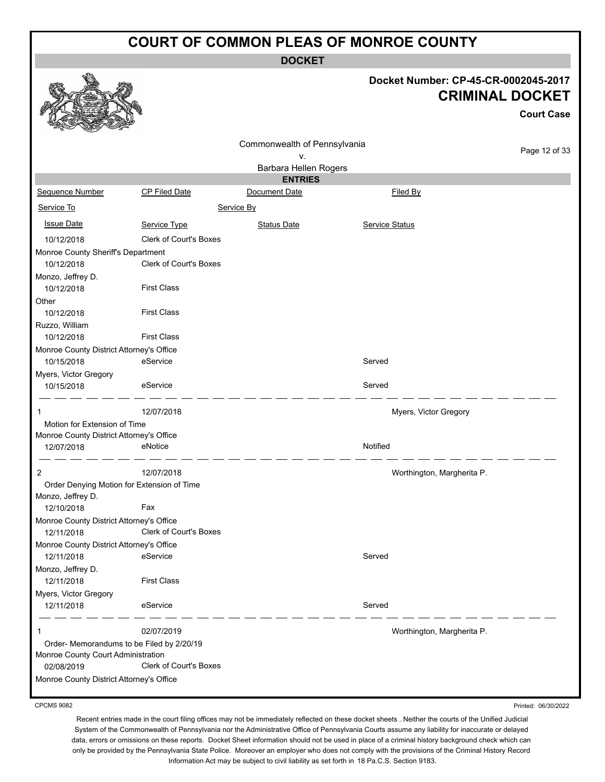**DOCKET**



#### **Docket Number: CP-45-CR-0002045-2017 CRIMINAL DOCKET**

**Court Case**

Printed: 06/30/2022

| ឃ<br><b>Command</b><br><b>Contraction</b>  |                               |                              |                |                            |               |
|--------------------------------------------|-------------------------------|------------------------------|----------------|----------------------------|---------------|
|                                            |                               | Commonwealth of Pennsylvania |                |                            | Page 12 of 33 |
| ۷.                                         |                               |                              |                |                            |               |
|                                            |                               | Barbara Hellen Rogers        |                |                            |               |
|                                            |                               | <b>ENTRIES</b>               |                |                            |               |
| Sequence Number                            | CP Filed Date                 | Document Date                |                | Filed By                   |               |
| Service To                                 |                               | Service By                   |                |                            |               |
| <b>Issue Date</b>                          | Service Type                  | <b>Status Date</b>           | Service Status |                            |               |
| 10/12/2018                                 | <b>Clerk of Court's Boxes</b> |                              |                |                            |               |
| Monroe County Sheriff's Department         |                               |                              |                |                            |               |
| 10/12/2018                                 | Clerk of Court's Boxes        |                              |                |                            |               |
| Monzo, Jeffrey D.                          |                               |                              |                |                            |               |
| 10/12/2018                                 | <b>First Class</b>            |                              |                |                            |               |
| Other                                      |                               |                              |                |                            |               |
| 10/12/2018                                 | <b>First Class</b>            |                              |                |                            |               |
| Ruzzo, William                             |                               |                              |                |                            |               |
| 10/12/2018                                 | <b>First Class</b>            |                              |                |                            |               |
| Monroe County District Attorney's Office   |                               |                              |                |                            |               |
| 10/15/2018                                 | eService                      |                              | Served         |                            |               |
| Myers, Victor Gregory                      |                               |                              |                |                            |               |
| 10/15/2018                                 | eService                      |                              | Served         |                            |               |
| 1                                          | 12/07/2018                    |                              |                | Myers, Victor Gregory      |               |
| Motion for Extension of Time               |                               |                              |                |                            |               |
| Monroe County District Attorney's Office   |                               |                              |                |                            |               |
| 12/07/2018                                 | eNotice                       |                              | Notified       |                            |               |
|                                            |                               |                              |                |                            |               |
| $\overline{2}$                             | 12/07/2018                    |                              |                | Worthington, Margherita P. |               |
| Order Denying Motion for Extension of Time |                               |                              |                |                            |               |
| Monzo, Jeffrey D.                          |                               |                              |                |                            |               |
| 12/10/2018                                 | Fax                           |                              |                |                            |               |
| Monroe County District Attorney's Office   |                               |                              |                |                            |               |
| 12/11/2018                                 | Clerk of Court's Boxes        |                              |                |                            |               |
| Monroe County District Attorney's Office   |                               |                              |                |                            |               |
| 12/11/2018                                 | eService                      |                              | Served         |                            |               |
| Monzo, Jeffrey D.                          |                               |                              |                |                            |               |
| 12/11/2018                                 | <b>First Class</b>            |                              |                |                            |               |
| Myers, Victor Gregory                      |                               |                              | Served         |                            |               |
| 12/11/2018                                 | eService                      |                              |                |                            |               |
| 1                                          | 02/07/2019                    |                              |                | Worthington, Margherita P. |               |
| Order-Memorandums to be Filed by 2/20/19   |                               |                              |                |                            |               |
| Monroe County Court Administration         |                               |                              |                |                            |               |
| 02/08/2019                                 | <b>Clerk of Court's Boxes</b> |                              |                |                            |               |
| Monroe County District Attorney's Office   |                               |                              |                |                            |               |
|                                            |                               |                              |                |                            |               |

CPCMS 9082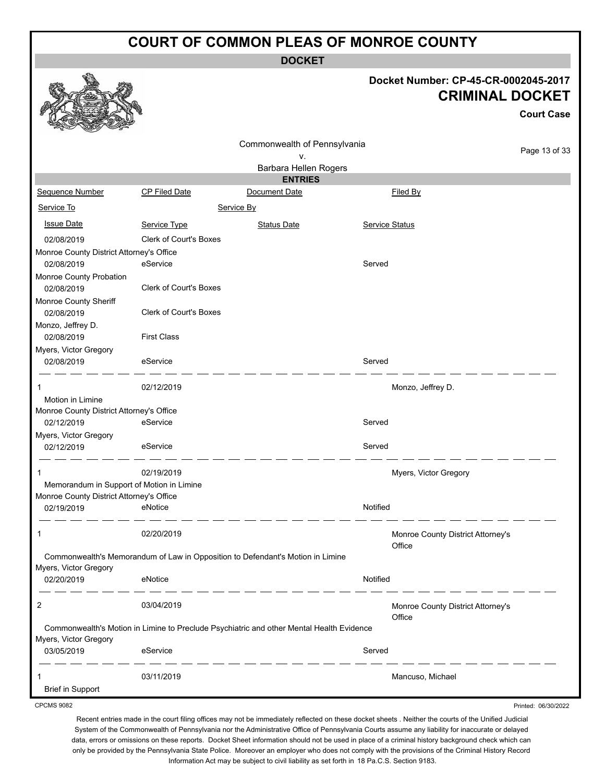**DOCKET**

#### **Docket Number: CP-45-CR-0002045-2017 CRIMINAL DOCKET**

**Court Case**

Printed: 06/30/2022

| R<br><b>COLLEGE DESCRIPTION</b><br><b>Contraction</b> |                                                                                          |                              |                |                                   |               |
|-------------------------------------------------------|------------------------------------------------------------------------------------------|------------------------------|----------------|-----------------------------------|---------------|
|                                                       |                                                                                          | Commonwealth of Pennsylvania |                |                                   |               |
|                                                       |                                                                                          | ۷.                           |                |                                   | Page 13 of 33 |
|                                                       |                                                                                          | Barbara Hellen Rogers        |                |                                   |               |
|                                                       |                                                                                          | <b>ENTRIES</b>               |                |                                   |               |
| Sequence Number                                       | CP Filed Date                                                                            | Document Date                |                | Filed By                          |               |
| Service To                                            |                                                                                          | Service By                   |                |                                   |               |
| <b>Issue Date</b>                                     | Service Type                                                                             | <b>Status Date</b>           | Service Status |                                   |               |
| 02/08/2019                                            | <b>Clerk of Court's Boxes</b>                                                            |                              |                |                                   |               |
| Monroe County District Attorney's Office              |                                                                                          |                              |                |                                   |               |
| 02/08/2019                                            | eService                                                                                 |                              | Served         |                                   |               |
| Monroe County Probation                               |                                                                                          |                              |                |                                   |               |
| 02/08/2019                                            | <b>Clerk of Court's Boxes</b>                                                            |                              |                |                                   |               |
| Monroe County Sheriff                                 |                                                                                          |                              |                |                                   |               |
| 02/08/2019                                            | Clerk of Court's Boxes                                                                   |                              |                |                                   |               |
| Monzo, Jeffrey D.                                     |                                                                                          |                              |                |                                   |               |
| 02/08/2019                                            | <b>First Class</b>                                                                       |                              |                |                                   |               |
| Myers, Victor Gregory                                 |                                                                                          |                              |                |                                   |               |
| 02/08/2019                                            | eService                                                                                 |                              | Served         |                                   |               |
| -1                                                    | 02/12/2019                                                                               |                              |                | Monzo, Jeffrey D.                 |               |
| Motion in Limine                                      |                                                                                          |                              |                |                                   |               |
| Monroe County District Attorney's Office              |                                                                                          |                              |                |                                   |               |
| 02/12/2019                                            | eService                                                                                 |                              | Served         |                                   |               |
| Myers, Victor Gregory                                 |                                                                                          |                              |                |                                   |               |
| 02/12/2019                                            | eService                                                                                 |                              | Served         |                                   |               |
| -1                                                    | 02/19/2019                                                                               |                              |                | Myers, Victor Gregory             |               |
| Memorandum in Support of Motion in Limine             |                                                                                          |                              |                |                                   |               |
| Monroe County District Attorney's Office              |                                                                                          |                              |                |                                   |               |
| 02/19/2019                                            | eNotice                                                                                  |                              | Notified       |                                   |               |
|                                                       |                                                                                          |                              |                |                                   |               |
| 1                                                     | 02/20/2019                                                                               |                              |                | Monroe County District Attorney's |               |
|                                                       | Commonwealth's Memorandum of Law in Opposition to Defendant's Motion in Limine           |                              |                | Office                            |               |
| Myers, Victor Gregory                                 |                                                                                          |                              |                |                                   |               |
| 02/20/2019                                            | eNotice                                                                                  |                              | Notified       |                                   |               |
|                                                       |                                                                                          |                              |                |                                   |               |
| 2                                                     | 03/04/2019                                                                               |                              |                | Monroe County District Attorney's |               |
|                                                       |                                                                                          |                              |                | Office                            |               |
|                                                       | Commonwealth's Motion in Limine to Preclude Psychiatric and other Mental Health Evidence |                              |                |                                   |               |
| Myers, Victor Gregory                                 |                                                                                          |                              |                |                                   |               |
| 03/05/2019                                            | eService                                                                                 |                              | Served         |                                   |               |
| 1                                                     | 03/11/2019                                                                               |                              |                | Mancuso, Michael                  |               |
| <b>Brief in Support</b>                               |                                                                                          |                              |                |                                   |               |

CPCMS 9082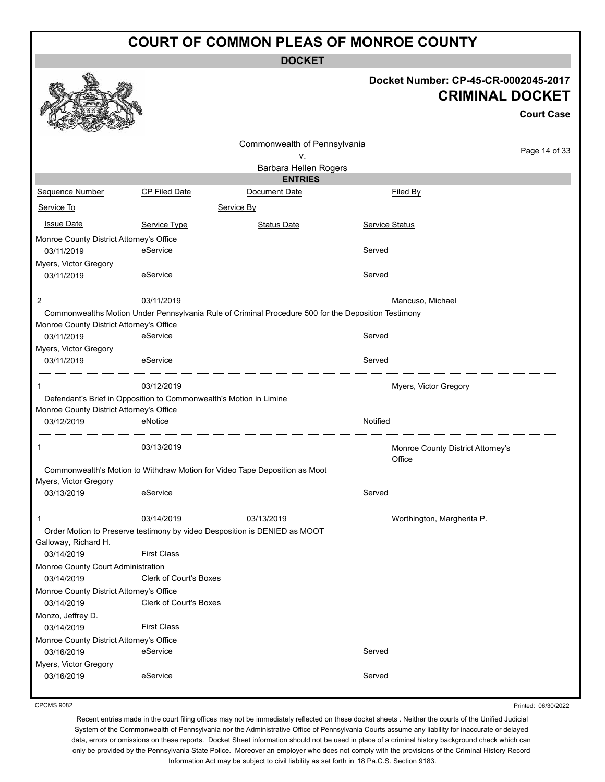**DOCKET**

#### **Docket Number: CP-45-CR-0002045-2017 CRIMINAL DOCKET**

**Court Case**

|                        |                                                                                                                                                                                                                                                                                        |                                                                                                                                                                                                                                                                                | <b>Court Case</b>                                                                                                                                                                                                                                                 |
|------------------------|----------------------------------------------------------------------------------------------------------------------------------------------------------------------------------------------------------------------------------------------------------------------------------------|--------------------------------------------------------------------------------------------------------------------------------------------------------------------------------------------------------------------------------------------------------------------------------|-------------------------------------------------------------------------------------------------------------------------------------------------------------------------------------------------------------------------------------------------------------------|
|                        |                                                                                                                                                                                                                                                                                        |                                                                                                                                                                                                                                                                                |                                                                                                                                                                                                                                                                   |
|                        | ٧.                                                                                                                                                                                                                                                                                     |                                                                                                                                                                                                                                                                                | Page 14 of 33                                                                                                                                                                                                                                                     |
|                        |                                                                                                                                                                                                                                                                                        |                                                                                                                                                                                                                                                                                |                                                                                                                                                                                                                                                                   |
|                        |                                                                                                                                                                                                                                                                                        |                                                                                                                                                                                                                                                                                |                                                                                                                                                                                                                                                                   |
|                        |                                                                                                                                                                                                                                                                                        |                                                                                                                                                                                                                                                                                |                                                                                                                                                                                                                                                                   |
|                        |                                                                                                                                                                                                                                                                                        |                                                                                                                                                                                                                                                                                |                                                                                                                                                                                                                                                                   |
| Service Type           | <b>Status Date</b>                                                                                                                                                                                                                                                                     | <b>Service Status</b>                                                                                                                                                                                                                                                          |                                                                                                                                                                                                                                                                   |
|                        |                                                                                                                                                                                                                                                                                        |                                                                                                                                                                                                                                                                                |                                                                                                                                                                                                                                                                   |
| eService               |                                                                                                                                                                                                                                                                                        | Served                                                                                                                                                                                                                                                                         |                                                                                                                                                                                                                                                                   |
|                        |                                                                                                                                                                                                                                                                                        |                                                                                                                                                                                                                                                                                |                                                                                                                                                                                                                                                                   |
| eService               |                                                                                                                                                                                                                                                                                        | Served                                                                                                                                                                                                                                                                         |                                                                                                                                                                                                                                                                   |
| 03/11/2019             |                                                                                                                                                                                                                                                                                        | Mancuso, Michael                                                                                                                                                                                                                                                               |                                                                                                                                                                                                                                                                   |
|                        |                                                                                                                                                                                                                                                                                        |                                                                                                                                                                                                                                                                                |                                                                                                                                                                                                                                                                   |
|                        |                                                                                                                                                                                                                                                                                        |                                                                                                                                                                                                                                                                                |                                                                                                                                                                                                                                                                   |
| eService               |                                                                                                                                                                                                                                                                                        | Served                                                                                                                                                                                                                                                                         |                                                                                                                                                                                                                                                                   |
|                        |                                                                                                                                                                                                                                                                                        |                                                                                                                                                                                                                                                                                |                                                                                                                                                                                                                                                                   |
| eService               |                                                                                                                                                                                                                                                                                        | Served                                                                                                                                                                                                                                                                         |                                                                                                                                                                                                                                                                   |
| 03/12/2019             |                                                                                                                                                                                                                                                                                        | Myers, Victor Gregory                                                                                                                                                                                                                                                          |                                                                                                                                                                                                                                                                   |
|                        |                                                                                                                                                                                                                                                                                        |                                                                                                                                                                                                                                                                                |                                                                                                                                                                                                                                                                   |
|                        |                                                                                                                                                                                                                                                                                        |                                                                                                                                                                                                                                                                                |                                                                                                                                                                                                                                                                   |
| eNotice                |                                                                                                                                                                                                                                                                                        |                                                                                                                                                                                                                                                                                |                                                                                                                                                                                                                                                                   |
| 03/13/2019             |                                                                                                                                                                                                                                                                                        |                                                                                                                                                                                                                                                                                |                                                                                                                                                                                                                                                                   |
|                        |                                                                                                                                                                                                                                                                                        |                                                                                                                                                                                                                                                                                |                                                                                                                                                                                                                                                                   |
|                        |                                                                                                                                                                                                                                                                                        |                                                                                                                                                                                                                                                                                |                                                                                                                                                                                                                                                                   |
| eService               |                                                                                                                                                                                                                                                                                        | Served                                                                                                                                                                                                                                                                         |                                                                                                                                                                                                                                                                   |
| 03/14/2019             | 03/13/2019                                                                                                                                                                                                                                                                             |                                                                                                                                                                                                                                                                                |                                                                                                                                                                                                                                                                   |
|                        |                                                                                                                                                                                                                                                                                        |                                                                                                                                                                                                                                                                                |                                                                                                                                                                                                                                                                   |
|                        |                                                                                                                                                                                                                                                                                        |                                                                                                                                                                                                                                                                                |                                                                                                                                                                                                                                                                   |
| <b>First Class</b>     |                                                                                                                                                                                                                                                                                        |                                                                                                                                                                                                                                                                                |                                                                                                                                                                                                                                                                   |
|                        |                                                                                                                                                                                                                                                                                        |                                                                                                                                                                                                                                                                                |                                                                                                                                                                                                                                                                   |
| Clerk of Court's Boxes |                                                                                                                                                                                                                                                                                        |                                                                                                                                                                                                                                                                                |                                                                                                                                                                                                                                                                   |
|                        |                                                                                                                                                                                                                                                                                        |                                                                                                                                                                                                                                                                                |                                                                                                                                                                                                                                                                   |
| Clerk of Court's Boxes |                                                                                                                                                                                                                                                                                        |                                                                                                                                                                                                                                                                                |                                                                                                                                                                                                                                                                   |
|                        |                                                                                                                                                                                                                                                                                        |                                                                                                                                                                                                                                                                                |                                                                                                                                                                                                                                                                   |
| <b>First Class</b>     |                                                                                                                                                                                                                                                                                        |                                                                                                                                                                                                                                                                                |                                                                                                                                                                                                                                                                   |
|                        |                                                                                                                                                                                                                                                                                        |                                                                                                                                                                                                                                                                                |                                                                                                                                                                                                                                                                   |
| eService               |                                                                                                                                                                                                                                                                                        | Served                                                                                                                                                                                                                                                                         |                                                                                                                                                                                                                                                                   |
|                        |                                                                                                                                                                                                                                                                                        |                                                                                                                                                                                                                                                                                |                                                                                                                                                                                                                                                                   |
|                        |                                                                                                                                                                                                                                                                                        |                                                                                                                                                                                                                                                                                |                                                                                                                                                                                                                                                                   |
|                        | <b>CP Filed Date</b><br>Monroe County District Attorney's Office<br>Monroe County District Attorney's Office<br>Monroe County District Attorney's Office<br>Monroe County Court Administration<br>Monroe County District Attorney's Office<br>Monroe County District Attorney's Office | <b>ENTRIES</b><br>Document Date<br>Service By<br>Defendant's Brief in Opposition to Commonwealth's Motion in Limine<br>Commonwealth's Motion to Withdraw Motion for Video Tape Deposition as Moot<br>Order Motion to Preserve testimony by video Desposition is DENIED as MOOT | Commonwealth of Pennsylvania<br>Barbara Hellen Rogers<br>Filed By<br>Commonwealths Motion Under Pennsylvania Rule of Criminal Procedure 500 for the Deposition Testimony<br>Notified<br>Monroe County District Attorney's<br>Office<br>Worthington, Margherita P. |

CPCMS 9082

Recent entries made in the court filing offices may not be immediately reflected on these docket sheets . Neither the courts of the Unified Judicial System of the Commonwealth of Pennsylvania nor the Administrative Office of Pennsylvania Courts assume any liability for inaccurate or delayed data, errors or omissions on these reports. Docket Sheet information should not be used in place of a criminal history background check which can only be provided by the Pennsylvania State Police. Moreover an employer who does not comply with the provisions of the Criminal History Record Information Act may be subject to civil liability as set forth in 18 Pa.C.S. Section 9183.

Printed: 06/30/2022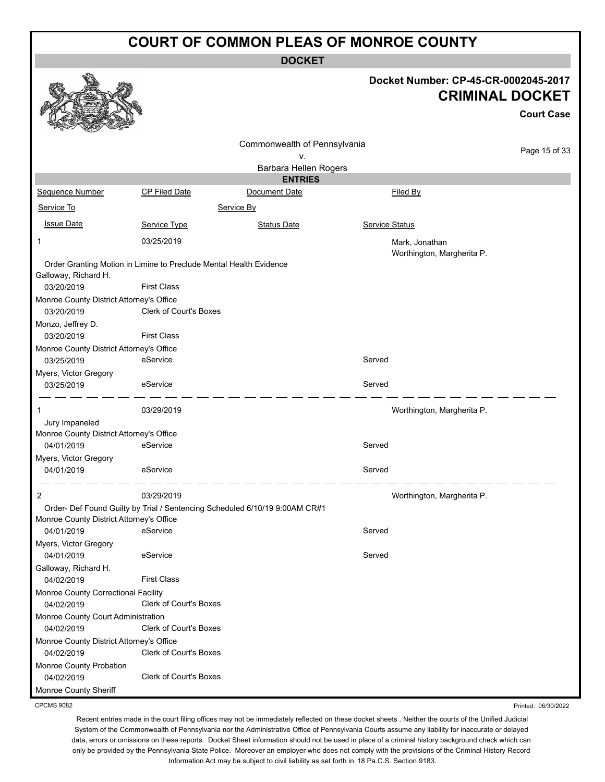**DOCKET**

| <b>CRIMINAL DOCKET</b><br><b>Court Case</b><br>Commonwealth of Pennsylvania<br>Page 15 of 33<br>v.<br>Barbara Hellen Rogers<br><b>ENTRIES</b><br>Sequence Number<br><b>CP Filed Date</b><br>Document Date<br>Filed By<br>Service To<br>Service By<br><b>Issue Date</b><br><b>Service Status</b><br>Service Type<br><b>Status Date</b><br>03/25/2019<br>Mark, Jonathan<br>1<br>Worthington, Margherita P.<br>Order Granting Motion in Limine to Preclude Mental Health Evidence<br>Galloway, Richard H.<br><b>First Class</b><br>03/20/2019<br>Monroe County District Attorney's Office<br><b>Clerk of Court's Boxes</b><br>03/20/2019<br>Monzo, Jeffrey D.<br><b>First Class</b><br>03/20/2019<br>Monroe County District Attorney's Office<br>eService<br>Served<br>03/25/2019<br>Myers, Victor Gregory<br>Served<br>eService<br>03/25/2019<br>03/29/2019<br>Worthington, Margherita P.<br>1<br>Jury Impaneled<br>Monroe County District Attorney's Office<br>eService<br>Served<br>04/01/2019<br>Myers, Victor Gregory<br>eService<br>Served<br>04/01/2019<br>Worthington, Margherita P.<br>2<br>03/29/2019<br>Order- Def Found Guilty by Trial / Sentencing Scheduled 6/10/19 9:00AM CR#1<br>Monroe County District Attorney's Office<br>Served<br>eService<br>04/01/2019<br>Myers, Victor Gregory<br>eService<br>Served<br>04/01/2019<br>Galloway, Richard H. |                    |  | Docket Number: CP-45-CR-0002045-2017 |  |
|------------------------------------------------------------------------------------------------------------------------------------------------------------------------------------------------------------------------------------------------------------------------------------------------------------------------------------------------------------------------------------------------------------------------------------------------------------------------------------------------------------------------------------------------------------------------------------------------------------------------------------------------------------------------------------------------------------------------------------------------------------------------------------------------------------------------------------------------------------------------------------------------------------------------------------------------------------------------------------------------------------------------------------------------------------------------------------------------------------------------------------------------------------------------------------------------------------------------------------------------------------------------------------------------------------------------------------------------------------------|--------------------|--|--------------------------------------|--|
|                                                                                                                                                                                                                                                                                                                                                                                                                                                                                                                                                                                                                                                                                                                                                                                                                                                                                                                                                                                                                                                                                                                                                                                                                                                                                                                                                                  |                    |  |                                      |  |
|                                                                                                                                                                                                                                                                                                                                                                                                                                                                                                                                                                                                                                                                                                                                                                                                                                                                                                                                                                                                                                                                                                                                                                                                                                                                                                                                                                  |                    |  |                                      |  |
|                                                                                                                                                                                                                                                                                                                                                                                                                                                                                                                                                                                                                                                                                                                                                                                                                                                                                                                                                                                                                                                                                                                                                                                                                                                                                                                                                                  |                    |  |                                      |  |
|                                                                                                                                                                                                                                                                                                                                                                                                                                                                                                                                                                                                                                                                                                                                                                                                                                                                                                                                                                                                                                                                                                                                                                                                                                                                                                                                                                  |                    |  |                                      |  |
|                                                                                                                                                                                                                                                                                                                                                                                                                                                                                                                                                                                                                                                                                                                                                                                                                                                                                                                                                                                                                                                                                                                                                                                                                                                                                                                                                                  |                    |  |                                      |  |
|                                                                                                                                                                                                                                                                                                                                                                                                                                                                                                                                                                                                                                                                                                                                                                                                                                                                                                                                                                                                                                                                                                                                                                                                                                                                                                                                                                  |                    |  |                                      |  |
|                                                                                                                                                                                                                                                                                                                                                                                                                                                                                                                                                                                                                                                                                                                                                                                                                                                                                                                                                                                                                                                                                                                                                                                                                                                                                                                                                                  |                    |  |                                      |  |
|                                                                                                                                                                                                                                                                                                                                                                                                                                                                                                                                                                                                                                                                                                                                                                                                                                                                                                                                                                                                                                                                                                                                                                                                                                                                                                                                                                  |                    |  |                                      |  |
|                                                                                                                                                                                                                                                                                                                                                                                                                                                                                                                                                                                                                                                                                                                                                                                                                                                                                                                                                                                                                                                                                                                                                                                                                                                                                                                                                                  |                    |  |                                      |  |
|                                                                                                                                                                                                                                                                                                                                                                                                                                                                                                                                                                                                                                                                                                                                                                                                                                                                                                                                                                                                                                                                                                                                                                                                                                                                                                                                                                  |                    |  |                                      |  |
|                                                                                                                                                                                                                                                                                                                                                                                                                                                                                                                                                                                                                                                                                                                                                                                                                                                                                                                                                                                                                                                                                                                                                                                                                                                                                                                                                                  |                    |  |                                      |  |
|                                                                                                                                                                                                                                                                                                                                                                                                                                                                                                                                                                                                                                                                                                                                                                                                                                                                                                                                                                                                                                                                                                                                                                                                                                                                                                                                                                  |                    |  |                                      |  |
|                                                                                                                                                                                                                                                                                                                                                                                                                                                                                                                                                                                                                                                                                                                                                                                                                                                                                                                                                                                                                                                                                                                                                                                                                                                                                                                                                                  |                    |  |                                      |  |
|                                                                                                                                                                                                                                                                                                                                                                                                                                                                                                                                                                                                                                                                                                                                                                                                                                                                                                                                                                                                                                                                                                                                                                                                                                                                                                                                                                  |                    |  |                                      |  |
|                                                                                                                                                                                                                                                                                                                                                                                                                                                                                                                                                                                                                                                                                                                                                                                                                                                                                                                                                                                                                                                                                                                                                                                                                                                                                                                                                                  |                    |  |                                      |  |
|                                                                                                                                                                                                                                                                                                                                                                                                                                                                                                                                                                                                                                                                                                                                                                                                                                                                                                                                                                                                                                                                                                                                                                                                                                                                                                                                                                  |                    |  |                                      |  |
|                                                                                                                                                                                                                                                                                                                                                                                                                                                                                                                                                                                                                                                                                                                                                                                                                                                                                                                                                                                                                                                                                                                                                                                                                                                                                                                                                                  |                    |  |                                      |  |
|                                                                                                                                                                                                                                                                                                                                                                                                                                                                                                                                                                                                                                                                                                                                                                                                                                                                                                                                                                                                                                                                                                                                                                                                                                                                                                                                                                  |                    |  |                                      |  |
|                                                                                                                                                                                                                                                                                                                                                                                                                                                                                                                                                                                                                                                                                                                                                                                                                                                                                                                                                                                                                                                                                                                                                                                                                                                                                                                                                                  |                    |  |                                      |  |
|                                                                                                                                                                                                                                                                                                                                                                                                                                                                                                                                                                                                                                                                                                                                                                                                                                                                                                                                                                                                                                                                                                                                                                                                                                                                                                                                                                  |                    |  |                                      |  |
|                                                                                                                                                                                                                                                                                                                                                                                                                                                                                                                                                                                                                                                                                                                                                                                                                                                                                                                                                                                                                                                                                                                                                                                                                                                                                                                                                                  |                    |  |                                      |  |
|                                                                                                                                                                                                                                                                                                                                                                                                                                                                                                                                                                                                                                                                                                                                                                                                                                                                                                                                                                                                                                                                                                                                                                                                                                                                                                                                                                  |                    |  |                                      |  |
|                                                                                                                                                                                                                                                                                                                                                                                                                                                                                                                                                                                                                                                                                                                                                                                                                                                                                                                                                                                                                                                                                                                                                                                                                                                                                                                                                                  |                    |  |                                      |  |
|                                                                                                                                                                                                                                                                                                                                                                                                                                                                                                                                                                                                                                                                                                                                                                                                                                                                                                                                                                                                                                                                                                                                                                                                                                                                                                                                                                  |                    |  |                                      |  |
|                                                                                                                                                                                                                                                                                                                                                                                                                                                                                                                                                                                                                                                                                                                                                                                                                                                                                                                                                                                                                                                                                                                                                                                                                                                                                                                                                                  |                    |  |                                      |  |
|                                                                                                                                                                                                                                                                                                                                                                                                                                                                                                                                                                                                                                                                                                                                                                                                                                                                                                                                                                                                                                                                                                                                                                                                                                                                                                                                                                  |                    |  |                                      |  |
|                                                                                                                                                                                                                                                                                                                                                                                                                                                                                                                                                                                                                                                                                                                                                                                                                                                                                                                                                                                                                                                                                                                                                                                                                                                                                                                                                                  |                    |  |                                      |  |
|                                                                                                                                                                                                                                                                                                                                                                                                                                                                                                                                                                                                                                                                                                                                                                                                                                                                                                                                                                                                                                                                                                                                                                                                                                                                                                                                                                  |                    |  |                                      |  |
|                                                                                                                                                                                                                                                                                                                                                                                                                                                                                                                                                                                                                                                                                                                                                                                                                                                                                                                                                                                                                                                                                                                                                                                                                                                                                                                                                                  |                    |  |                                      |  |
|                                                                                                                                                                                                                                                                                                                                                                                                                                                                                                                                                                                                                                                                                                                                                                                                                                                                                                                                                                                                                                                                                                                                                                                                                                                                                                                                                                  |                    |  |                                      |  |
|                                                                                                                                                                                                                                                                                                                                                                                                                                                                                                                                                                                                                                                                                                                                                                                                                                                                                                                                                                                                                                                                                                                                                                                                                                                                                                                                                                  |                    |  |                                      |  |
|                                                                                                                                                                                                                                                                                                                                                                                                                                                                                                                                                                                                                                                                                                                                                                                                                                                                                                                                                                                                                                                                                                                                                                                                                                                                                                                                                                  |                    |  |                                      |  |
|                                                                                                                                                                                                                                                                                                                                                                                                                                                                                                                                                                                                                                                                                                                                                                                                                                                                                                                                                                                                                                                                                                                                                                                                                                                                                                                                                                  | <b>First Class</b> |  |                                      |  |
| 04/02/2019                                                                                                                                                                                                                                                                                                                                                                                                                                                                                                                                                                                                                                                                                                                                                                                                                                                                                                                                                                                                                                                                                                                                                                                                                                                                                                                                                       |                    |  |                                      |  |
| Monroe County Correctional Facility<br><b>Clerk of Court's Boxes</b><br>04/02/2019                                                                                                                                                                                                                                                                                                                                                                                                                                                                                                                                                                                                                                                                                                                                                                                                                                                                                                                                                                                                                                                                                                                                                                                                                                                                               |                    |  |                                      |  |
| Monroe County Court Administration                                                                                                                                                                                                                                                                                                                                                                                                                                                                                                                                                                                                                                                                                                                                                                                                                                                                                                                                                                                                                                                                                                                                                                                                                                                                                                                               |                    |  |                                      |  |
| <b>Clerk of Court's Boxes</b><br>04/02/2019                                                                                                                                                                                                                                                                                                                                                                                                                                                                                                                                                                                                                                                                                                                                                                                                                                                                                                                                                                                                                                                                                                                                                                                                                                                                                                                      |                    |  |                                      |  |
| Monroe County District Attorney's Office                                                                                                                                                                                                                                                                                                                                                                                                                                                                                                                                                                                                                                                                                                                                                                                                                                                                                                                                                                                                                                                                                                                                                                                                                                                                                                                         |                    |  |                                      |  |
| Clerk of Court's Boxes<br>04/02/2019                                                                                                                                                                                                                                                                                                                                                                                                                                                                                                                                                                                                                                                                                                                                                                                                                                                                                                                                                                                                                                                                                                                                                                                                                                                                                                                             |                    |  |                                      |  |
| Monroe County Probation                                                                                                                                                                                                                                                                                                                                                                                                                                                                                                                                                                                                                                                                                                                                                                                                                                                                                                                                                                                                                                                                                                                                                                                                                                                                                                                                          |                    |  |                                      |  |
| <b>Clerk of Court's Boxes</b><br>04/02/2019                                                                                                                                                                                                                                                                                                                                                                                                                                                                                                                                                                                                                                                                                                                                                                                                                                                                                                                                                                                                                                                                                                                                                                                                                                                                                                                      |                    |  |                                      |  |
| Monroe County Sheriff                                                                                                                                                                                                                                                                                                                                                                                                                                                                                                                                                                                                                                                                                                                                                                                                                                                                                                                                                                                                                                                                                                                                                                                                                                                                                                                                            |                    |  |                                      |  |

CPCMS 9082

Recent entries made in the court filing offices may not be immediately reflected on these docket sheets . Neither the courts of the Unified Judicial System of the Commonwealth of Pennsylvania nor the Administrative Office of Pennsylvania Courts assume any liability for inaccurate or delayed data, errors or omissions on these reports. Docket Sheet information should not be used in place of a criminal history background check which can only be provided by the Pennsylvania State Police. Moreover an employer who does not comply with the provisions of the Criminal History Record Information Act may be subject to civil liability as set forth in 18 Pa.C.S. Section 9183.

Printed: 06/30/2022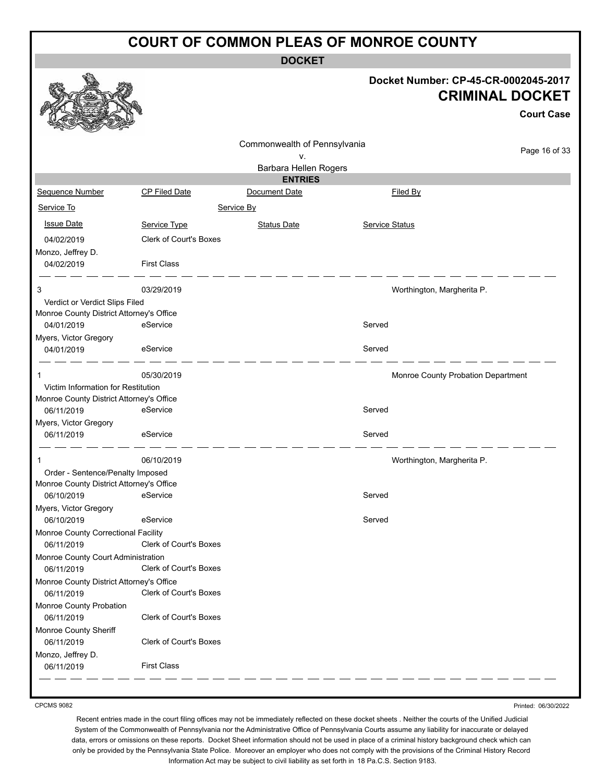**DOCKET**

#### **Docket Number: CP-45-CR-0002045-2017 CRIMINAL DOCKET**

**Court Case**

|                                                                        |                                              | Commonwealth of Pennsylvania |                |                                    |
|------------------------------------------------------------------------|----------------------------------------------|------------------------------|----------------|------------------------------------|
|                                                                        |                                              | v.                           |                | Page 16 of 33                      |
|                                                                        |                                              | Barbara Hellen Rogers        |                |                                    |
|                                                                        |                                              | <b>ENTRIES</b>               |                |                                    |
| Sequence Number                                                        | CP Filed Date                                | Document Date                | Filed By       |                                    |
| Service To                                                             |                                              | Service By                   |                |                                    |
| <b>Issue Date</b>                                                      | Service Type                                 | <b>Status Date</b>           | Service Status |                                    |
| 04/02/2019                                                             | <b>Clerk of Court's Boxes</b>                |                              |                |                                    |
| Monzo, Jeffrey D.                                                      |                                              |                              |                |                                    |
| 04/02/2019                                                             | <b>First Class</b>                           |                              |                |                                    |
| 3                                                                      | 03/29/2019                                   |                              |                | Worthington, Margherita P.         |
| Verdict or Verdict Slips Filed                                         |                                              |                              |                |                                    |
| Monroe County District Attorney's Office                               |                                              |                              |                |                                    |
| 04/01/2019                                                             | eService                                     |                              | Served         |                                    |
| Myers, Victor Gregory                                                  |                                              |                              |                |                                    |
| 04/01/2019                                                             | eService                                     |                              | Served         |                                    |
|                                                                        | 05/30/2019                                   |                              |                | Monroe County Probation Department |
| Victim Information for Restitution                                     |                                              |                              |                |                                    |
| Monroe County District Attorney's Office                               |                                              |                              |                |                                    |
| 06/11/2019                                                             | eService                                     |                              | Served         |                                    |
| Myers, Victor Gregory                                                  |                                              |                              |                |                                    |
| 06/11/2019                                                             | eService                                     |                              | Served         |                                    |
| -1                                                                     | 06/10/2019                                   |                              |                | Worthington, Margherita P.         |
| Order - Sentence/Penalty Imposed                                       |                                              |                              |                |                                    |
| Monroe County District Attorney's Office                               |                                              |                              |                |                                    |
| 06/10/2019                                                             | eService                                     |                              | Served         |                                    |
| Myers, Victor Gregory                                                  |                                              |                              |                |                                    |
| 06/10/2019                                                             | eService                                     |                              | Served         |                                    |
| Monroe County Correctional Facility                                    |                                              |                              |                |                                    |
| 06/11/2019                                                             | Clerk of Court's Boxes                       |                              |                |                                    |
| Monroe County Court Administration                                     |                                              |                              |                |                                    |
| 06/11/2019                                                             | Clerk of Court's Boxes                       |                              |                |                                    |
| Monroe County District Attorney's Office                               |                                              |                              |                |                                    |
| 06/11/2019                                                             | Clerk of Court's Boxes                       |                              |                |                                    |
| Monroe County Probation                                                |                                              |                              |                |                                    |
| 06/11/2019                                                             | Clerk of Court's Boxes                       |                              |                |                                    |
|                                                                        |                                              |                              |                |                                    |
|                                                                        |                                              |                              |                |                                    |
|                                                                        |                                              |                              |                |                                    |
|                                                                        |                                              |                              |                |                                    |
| Monroe County Sheriff<br>06/11/2019<br>Monzo, Jeffrey D.<br>06/11/2019 | Clerk of Court's Boxes<br><b>First Class</b> |                              |                |                                    |

CPCMS 9082

Printed: 06/30/2022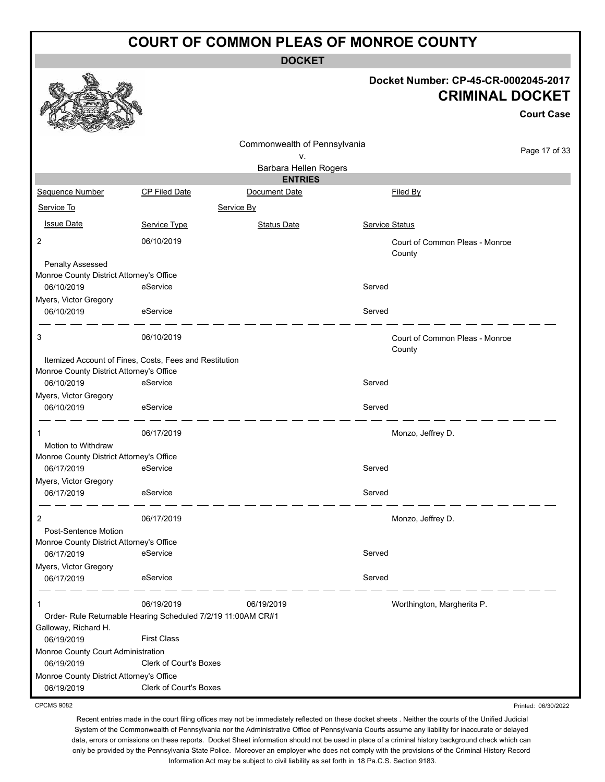**DOCKET**

#### **Docket Number: CP-45-CR-0002045-2017 CRIMINAL DOCKET**

**Court Case**

|                                                        |                                                              | Commonwealth of Pennsylvania |                                          |                     |
|--------------------------------------------------------|--------------------------------------------------------------|------------------------------|------------------------------------------|---------------------|
|                                                        |                                                              | ν.                           |                                          | Page 17 of 33       |
|                                                        |                                                              | Barbara Hellen Rogers        |                                          |                     |
|                                                        |                                                              | <b>ENTRIES</b>               |                                          |                     |
| Sequence Number                                        | <b>CP Filed Date</b>                                         | Document Date                | Filed By                                 |                     |
| Service To                                             |                                                              | Service By                   |                                          |                     |
| <b>Issue Date</b>                                      | Service Type                                                 | <b>Status Date</b>           | Service Status                           |                     |
| $\overline{2}$                                         | 06/10/2019                                                   |                              | Court of Common Pleas - Monroe<br>County |                     |
| <b>Penalty Assessed</b>                                |                                                              |                              |                                          |                     |
| Monroe County District Attorney's Office<br>06/10/2019 | eService                                                     |                              | Served                                   |                     |
| Myers, Victor Gregory                                  |                                                              |                              |                                          |                     |
| 06/10/2019                                             | eService                                                     |                              | Served                                   |                     |
| 3                                                      | 06/10/2019                                                   |                              | Court of Common Pleas - Monroe<br>County |                     |
| Monroe County District Attorney's Office               | Itemized Account of Fines, Costs, Fees and Restitution       |                              |                                          |                     |
| 06/10/2019                                             | eService                                                     |                              | Served                                   |                     |
| Myers, Victor Gregory<br>06/10/2019                    | eService                                                     |                              | Served                                   |                     |
| 1                                                      | 06/17/2019                                                   |                              | Monzo, Jeffrey D.                        |                     |
| Motion to Withdraw                                     |                                                              |                              |                                          |                     |
| Monroe County District Attorney's Office               |                                                              |                              |                                          |                     |
| 06/17/2019                                             | eService                                                     |                              | Served                                   |                     |
| Myers, Victor Gregory                                  |                                                              |                              |                                          |                     |
| 06/17/2019                                             | eService                                                     |                              | Served                                   |                     |
| $\overline{2}$                                         | 06/17/2019                                                   |                              | Monzo, Jeffrey D.                        |                     |
| Post-Sentence Motion                                   |                                                              |                              |                                          |                     |
| Monroe County District Attorney's Office               |                                                              |                              |                                          |                     |
| 06/17/2019                                             | eService                                                     |                              | Served                                   |                     |
| Myers, Victor Gregory<br>06/17/2019                    | eService                                                     |                              | Served                                   |                     |
| 1                                                      | 06/19/2019                                                   | 06/19/2019                   | Worthington, Margherita P.               |                     |
|                                                        | Order- Rule Returnable Hearing Scheduled 7/2/19 11:00AM CR#1 |                              |                                          |                     |
| Galloway, Richard H.                                   | <b>First Class</b>                                           |                              |                                          |                     |
| 06/19/2019<br>Monroe County Court Administration       |                                                              |                              |                                          |                     |
| 06/19/2019                                             | Clerk of Court's Boxes                                       |                              |                                          |                     |
| Monroe County District Attorney's Office               |                                                              |                              |                                          |                     |
| 06/19/2019                                             | Clerk of Court's Boxes                                       |                              |                                          |                     |
| <b>CPCMS 9082</b>                                      |                                                              |                              |                                          | Printed: 06/30/2022 |

CPCMS 9082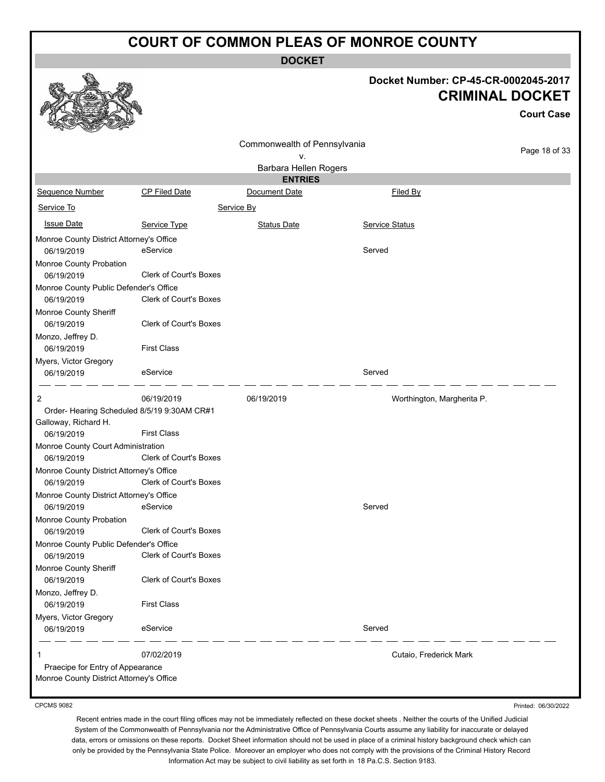**DOCKET**

|                                                                                   |                               |                              |                        | Docket Number: CP-45-CR-0002045-2017<br><b>CRIMINAL DOCKET</b><br><b>Court Case</b> |
|-----------------------------------------------------------------------------------|-------------------------------|------------------------------|------------------------|-------------------------------------------------------------------------------------|
|                                                                                   |                               | Commonwealth of Pennsylvania |                        | Page 18 of 33                                                                       |
|                                                                                   |                               | ٧.<br>Barbara Hellen Rogers  |                        |                                                                                     |
|                                                                                   |                               | <b>ENTRIES</b>               |                        |                                                                                     |
| <b>Sequence Number</b>                                                            | CP Filed Date                 | Document Date                | Filed By               |                                                                                     |
| Service To                                                                        |                               | Service By                   |                        |                                                                                     |
| <b>Issue Date</b>                                                                 | Service Type                  | <b>Status Date</b>           | Service Status         |                                                                                     |
| Monroe County District Attorney's Office<br>06/19/2019                            | eService                      |                              | Served                 |                                                                                     |
| Monroe County Probation<br>06/19/2019                                             | Clerk of Court's Boxes        |                              |                        |                                                                                     |
| Monroe County Public Defender's Office<br>06/19/2019                              | Clerk of Court's Boxes        |                              |                        |                                                                                     |
| Monroe County Sheriff<br>06/19/2019                                               | Clerk of Court's Boxes        |                              |                        |                                                                                     |
| Monzo, Jeffrey D.<br>06/19/2019                                                   | <b>First Class</b>            |                              |                        |                                                                                     |
| Myers, Victor Gregory<br>06/19/2019                                               | eService                      |                              | Served                 |                                                                                     |
| 2                                                                                 | 06/19/2019                    | 06/19/2019                   |                        | Worthington, Margherita P.                                                          |
| Order- Hearing Scheduled 8/5/19 9:30AM CR#1<br>Galloway, Richard H.<br>06/19/2019 | <b>First Class</b>            |                              |                        |                                                                                     |
| Monroe County Court Administration<br>06/19/2019                                  | <b>Clerk of Court's Boxes</b> |                              |                        |                                                                                     |
| Monroe County District Attorney's Office<br>06/19/2019                            | Clerk of Court's Boxes        |                              |                        |                                                                                     |
| Monroe County District Attorney's Office<br>06/19/2019                            | eService                      |                              | Served                 |                                                                                     |
| Monroe County Probation<br>06/19/2019                                             | <b>Clerk of Court's Boxes</b> |                              |                        |                                                                                     |
| Monroe County Public Defender's Office                                            |                               |                              |                        |                                                                                     |
| 06/19/2019                                                                        | Clerk of Court's Boxes        |                              |                        |                                                                                     |
| Monroe County Sheriff<br>06/19/2019                                               | Clerk of Court's Boxes        |                              |                        |                                                                                     |
| Monzo, Jeffrey D.<br>06/19/2019                                                   | <b>First Class</b>            |                              |                        |                                                                                     |
| Myers, Victor Gregory<br>06/19/2019                                               | eService                      |                              | Served                 |                                                                                     |
| 1<br>Praecipe for Entry of Appearance<br>Monroe County District Attorney's Office | 07/02/2019                    |                              | Cutaio, Frederick Mark |                                                                                     |
|                                                                                   |                               |                              |                        |                                                                                     |

CPCMS 9082

Recent entries made in the court filing offices may not be immediately reflected on these docket sheets . Neither the courts of the Unified Judicial System of the Commonwealth of Pennsylvania nor the Administrative Office of Pennsylvania Courts assume any liability for inaccurate or delayed data, errors or omissions on these reports. Docket Sheet information should not be used in place of a criminal history background check which can only be provided by the Pennsylvania State Police. Moreover an employer who does not comply with the provisions of the Criminal History Record Information Act may be subject to civil liability as set forth in 18 Pa.C.S. Section 9183.

Printed: 06/30/2022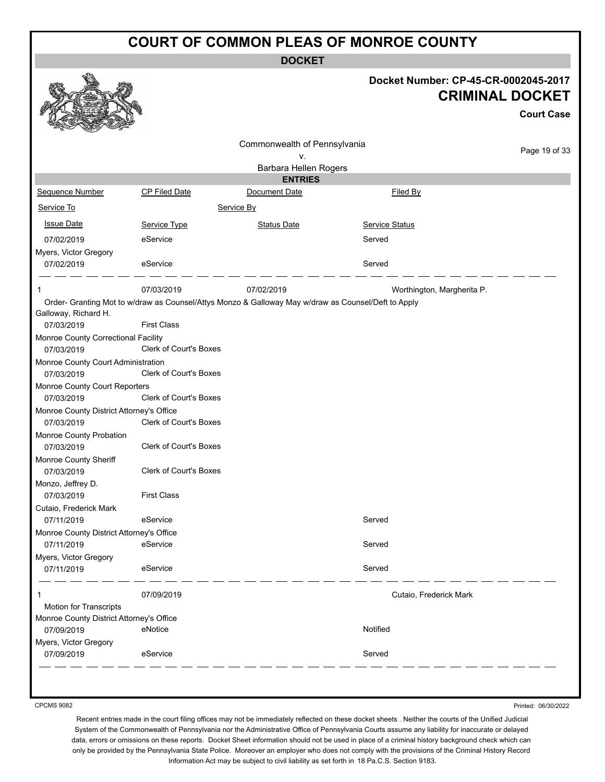**DOCKET**

#### **Docket Number: CP-45-CR-0002045-2017 CRIMINAL DOCKET**

|                                                        |                                                                                                     |                                    |                            | <b>Court Case</b> |
|--------------------------------------------------------|-----------------------------------------------------------------------------------------------------|------------------------------------|----------------------------|-------------------|
|                                                        |                                                                                                     | Commonwealth of Pennsylvania<br>۷. |                            | Page 19 of 33     |
|                                                        |                                                                                                     | Barbara Hellen Rogers              |                            |                   |
|                                                        |                                                                                                     | <b>ENTRIES</b>                     |                            |                   |
| Sequence Number                                        | CP Filed Date                                                                                       | Document Date                      | Filed By                   |                   |
| Service To                                             |                                                                                                     | Service By                         |                            |                   |
| <b>Issue Date</b>                                      | Service Type                                                                                        | Status Date                        | <b>Service Status</b>      |                   |
| 07/02/2019                                             | eService                                                                                            |                                    | Served                     |                   |
| Myers, Victor Gregory                                  |                                                                                                     |                                    |                            |                   |
| 07/02/2019                                             | eService                                                                                            |                                    | Served                     |                   |
| 1                                                      | 07/03/2019                                                                                          | 07/02/2019                         | Worthington, Margherita P. |                   |
|                                                        | Order- Granting Mot to w/draw as Counsel/Attys Monzo & Galloway May w/draw as Counsel/Deft to Apply |                                    |                            |                   |
| Galloway, Richard H.<br>07/03/2019                     | <b>First Class</b>                                                                                  |                                    |                            |                   |
| Monroe County Correctional Facility<br>07/03/2019      | Clerk of Court's Boxes                                                                              |                                    |                            |                   |
| Monroe County Court Administration<br>07/03/2019       | <b>Clerk of Court's Boxes</b>                                                                       |                                    |                            |                   |
| Monroe County Court Reporters<br>07/03/2019            | <b>Clerk of Court's Boxes</b>                                                                       |                                    |                            |                   |
| Monroe County District Attorney's Office               |                                                                                                     |                                    |                            |                   |
| 07/03/2019                                             | Clerk of Court's Boxes                                                                              |                                    |                            |                   |
| Monroe County Probation<br>07/03/2019                  | <b>Clerk of Court's Boxes</b>                                                                       |                                    |                            |                   |
| Monroe County Sheriff                                  |                                                                                                     |                                    |                            |                   |
| 07/03/2019                                             | Clerk of Court's Boxes                                                                              |                                    |                            |                   |
| Monzo, Jeffrey D.<br>07/03/2019                        | <b>First Class</b>                                                                                  |                                    |                            |                   |
| Cutaio, Frederick Mark                                 |                                                                                                     |                                    |                            |                   |
| 07/11/2019                                             | eService                                                                                            |                                    | Served                     |                   |
| Monroe County District Attorney's Office               |                                                                                                     |                                    |                            |                   |
| 07/11/2019                                             | eService                                                                                            |                                    | Served                     |                   |
| Myers, Victor Gregory<br>07/11/2019                    | eService                                                                                            |                                    | Served                     |                   |
|                                                        |                                                                                                     |                                    |                            |                   |
| 1                                                      | 07/09/2019                                                                                          |                                    | Cutaio, Frederick Mark     |                   |
| <b>Motion for Transcripts</b>                          |                                                                                                     |                                    |                            |                   |
| Monroe County District Attorney's Office<br>07/09/2019 | eNotice                                                                                             |                                    | Notified                   |                   |
| Myers, Victor Gregory                                  |                                                                                                     |                                    |                            |                   |
| 07/09/2019                                             | eService                                                                                            |                                    | Served                     |                   |

CPCMS 9082

Printed: 06/30/2022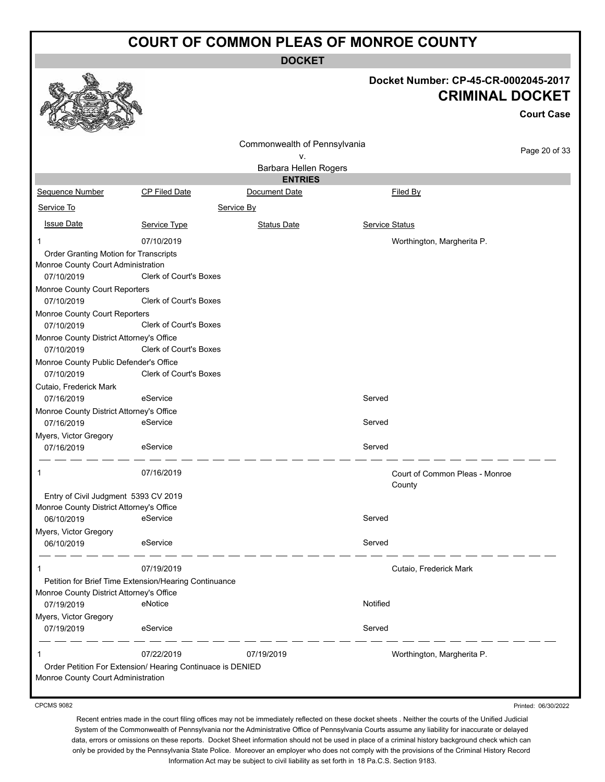**DOCKET**

# **Docket Number: CP-45-CR-0002045-2017 CRIMINAL DOCKET**

**Court Case**

| Commonwealth of Pennsylvania<br>٧.<br>Barbara Hellen Rogers<br><b>ENTRIES</b><br>Sequence Number<br><b>CP Filed Date</b><br>Document Date<br>Filed By<br>Service To<br>Service By<br><b>Issue Date</b><br><b>Status Date</b><br>Service Status<br>Service Type<br>07/10/2019<br>Worthington, Margherita P.<br>Order Granting Motion for Transcripts<br>Monroe County Court Administration<br><b>Clerk of Court's Boxes</b><br>07/10/2019<br>Monroe County Court Reporters<br><b>Clerk of Court's Boxes</b><br>07/10/2019<br>Monroe County Court Reporters<br><b>Clerk of Court's Boxes</b><br>07/10/2019<br>Monroe County District Attorney's Office<br><b>Clerk of Court's Boxes</b><br>07/10/2019<br>Monroe County Public Defender's Office<br>Clerk of Court's Boxes<br>07/10/2019 | Page 20 of 33 |
|---------------------------------------------------------------------------------------------------------------------------------------------------------------------------------------------------------------------------------------------------------------------------------------------------------------------------------------------------------------------------------------------------------------------------------------------------------------------------------------------------------------------------------------------------------------------------------------------------------------------------------------------------------------------------------------------------------------------------------------------------------------------------------------|---------------|
|                                                                                                                                                                                                                                                                                                                                                                                                                                                                                                                                                                                                                                                                                                                                                                                       |               |
|                                                                                                                                                                                                                                                                                                                                                                                                                                                                                                                                                                                                                                                                                                                                                                                       |               |
|                                                                                                                                                                                                                                                                                                                                                                                                                                                                                                                                                                                                                                                                                                                                                                                       |               |
|                                                                                                                                                                                                                                                                                                                                                                                                                                                                                                                                                                                                                                                                                                                                                                                       |               |
|                                                                                                                                                                                                                                                                                                                                                                                                                                                                                                                                                                                                                                                                                                                                                                                       |               |
|                                                                                                                                                                                                                                                                                                                                                                                                                                                                                                                                                                                                                                                                                                                                                                                       |               |
|                                                                                                                                                                                                                                                                                                                                                                                                                                                                                                                                                                                                                                                                                                                                                                                       |               |
|                                                                                                                                                                                                                                                                                                                                                                                                                                                                                                                                                                                                                                                                                                                                                                                       |               |
|                                                                                                                                                                                                                                                                                                                                                                                                                                                                                                                                                                                                                                                                                                                                                                                       |               |
|                                                                                                                                                                                                                                                                                                                                                                                                                                                                                                                                                                                                                                                                                                                                                                                       |               |
|                                                                                                                                                                                                                                                                                                                                                                                                                                                                                                                                                                                                                                                                                                                                                                                       |               |
|                                                                                                                                                                                                                                                                                                                                                                                                                                                                                                                                                                                                                                                                                                                                                                                       |               |
|                                                                                                                                                                                                                                                                                                                                                                                                                                                                                                                                                                                                                                                                                                                                                                                       |               |
|                                                                                                                                                                                                                                                                                                                                                                                                                                                                                                                                                                                                                                                                                                                                                                                       |               |
|                                                                                                                                                                                                                                                                                                                                                                                                                                                                                                                                                                                                                                                                                                                                                                                       |               |
|                                                                                                                                                                                                                                                                                                                                                                                                                                                                                                                                                                                                                                                                                                                                                                                       |               |
|                                                                                                                                                                                                                                                                                                                                                                                                                                                                                                                                                                                                                                                                                                                                                                                       |               |
|                                                                                                                                                                                                                                                                                                                                                                                                                                                                                                                                                                                                                                                                                                                                                                                       |               |
| Cutaio, Frederick Mark                                                                                                                                                                                                                                                                                                                                                                                                                                                                                                                                                                                                                                                                                                                                                                |               |
| Served<br>eService<br>07/16/2019                                                                                                                                                                                                                                                                                                                                                                                                                                                                                                                                                                                                                                                                                                                                                      |               |
| Monroe County District Attorney's Office                                                                                                                                                                                                                                                                                                                                                                                                                                                                                                                                                                                                                                                                                                                                              |               |
| eService<br>Served<br>07/16/2019                                                                                                                                                                                                                                                                                                                                                                                                                                                                                                                                                                                                                                                                                                                                                      |               |
| Myers, Victor Gregory<br>Served                                                                                                                                                                                                                                                                                                                                                                                                                                                                                                                                                                                                                                                                                                                                                       |               |
| eService<br>07/16/2019                                                                                                                                                                                                                                                                                                                                                                                                                                                                                                                                                                                                                                                                                                                                                                |               |
| 07/16/2019<br>Court of Common Pleas - Monroe                                                                                                                                                                                                                                                                                                                                                                                                                                                                                                                                                                                                                                                                                                                                          |               |
| County                                                                                                                                                                                                                                                                                                                                                                                                                                                                                                                                                                                                                                                                                                                                                                                |               |
| Entry of Civil Judgment 5393 CV 2019                                                                                                                                                                                                                                                                                                                                                                                                                                                                                                                                                                                                                                                                                                                                                  |               |
| Monroe County District Attorney's Office<br>eService<br>Served                                                                                                                                                                                                                                                                                                                                                                                                                                                                                                                                                                                                                                                                                                                        |               |
| 06/10/2019                                                                                                                                                                                                                                                                                                                                                                                                                                                                                                                                                                                                                                                                                                                                                                            |               |
| Myers, Victor Gregory<br>eService<br>Served                                                                                                                                                                                                                                                                                                                                                                                                                                                                                                                                                                                                                                                                                                                                           |               |
| 06/10/2019                                                                                                                                                                                                                                                                                                                                                                                                                                                                                                                                                                                                                                                                                                                                                                            |               |
| 07/19/2019<br>Cutaio, Frederick Mark                                                                                                                                                                                                                                                                                                                                                                                                                                                                                                                                                                                                                                                                                                                                                  |               |
| Petition for Brief Time Extension/Hearing Continuance                                                                                                                                                                                                                                                                                                                                                                                                                                                                                                                                                                                                                                                                                                                                 |               |
| Monroe County District Attorney's Office                                                                                                                                                                                                                                                                                                                                                                                                                                                                                                                                                                                                                                                                                                                                              |               |
| eNotice<br>Notified<br>07/19/2019                                                                                                                                                                                                                                                                                                                                                                                                                                                                                                                                                                                                                                                                                                                                                     |               |
| Myers, Victor Gregory                                                                                                                                                                                                                                                                                                                                                                                                                                                                                                                                                                                                                                                                                                                                                                 |               |
| eService<br>Served<br>07/19/2019                                                                                                                                                                                                                                                                                                                                                                                                                                                                                                                                                                                                                                                                                                                                                      |               |
| 07/22/2019<br>07/19/2019<br>Worthington, Margherita P.                                                                                                                                                                                                                                                                                                                                                                                                                                                                                                                                                                                                                                                                                                                                |               |
| Order Petition For Extension/ Hearing Continuace is DENIED                                                                                                                                                                                                                                                                                                                                                                                                                                                                                                                                                                                                                                                                                                                            |               |
| Monroe County Court Administration                                                                                                                                                                                                                                                                                                                                                                                                                                                                                                                                                                                                                                                                                                                                                    |               |
|                                                                                                                                                                                                                                                                                                                                                                                                                                                                                                                                                                                                                                                                                                                                                                                       |               |

CPCMS 9082

Printed: 06/30/2022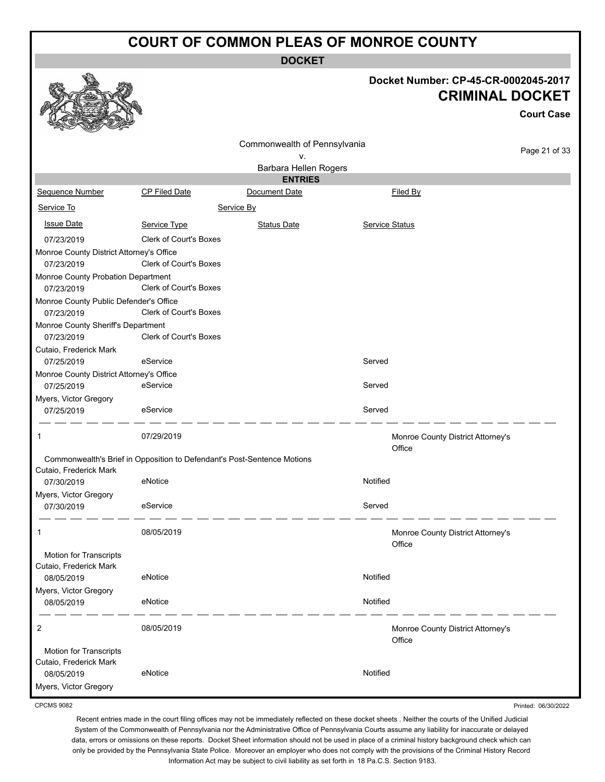**DOCKET**

|                                                  |                               | ו שטש                                                                   |                       |                                                                |                   |
|--------------------------------------------------|-------------------------------|-------------------------------------------------------------------------|-----------------------|----------------------------------------------------------------|-------------------|
|                                                  |                               |                                                                         |                       | Docket Number: CP-45-CR-0002045-2017<br><b>CRIMINAL DOCKET</b> | <b>Court Case</b> |
|                                                  |                               | Commonwealth of Pennsylvania                                            |                       |                                                                | Page 21 of 33     |
|                                                  |                               | ۷.<br>Barbara Hellen Rogers                                             |                       |                                                                |                   |
|                                                  |                               | <b>ENTRIES</b>                                                          |                       |                                                                |                   |
| Sequence Number                                  | <b>CP Filed Date</b>          | Document Date                                                           | Filed By              |                                                                |                   |
| Service To                                       |                               | Service By                                                              |                       |                                                                |                   |
| <b>Issue Date</b>                                | Service Type                  | <b>Status Date</b>                                                      | <b>Service Status</b> |                                                                |                   |
| 07/23/2019                                       | <b>Clerk of Court's Boxes</b> |                                                                         |                       |                                                                |                   |
| Monroe County District Attorney's Office         |                               |                                                                         |                       |                                                                |                   |
| 07/23/2019                                       | <b>Clerk of Court's Boxes</b> |                                                                         |                       |                                                                |                   |
| Monroe County Probation Department<br>07/23/2019 | <b>Clerk of Court's Boxes</b> |                                                                         |                       |                                                                |                   |
| Monroe County Public Defender's Office           |                               |                                                                         |                       |                                                                |                   |
| 07/23/2019                                       | <b>Clerk of Court's Boxes</b> |                                                                         |                       |                                                                |                   |
| Monroe County Sheriff's Department               |                               |                                                                         |                       |                                                                |                   |
| 07/23/2019                                       | <b>Clerk of Court's Boxes</b> |                                                                         |                       |                                                                |                   |
| Cutaio, Frederick Mark<br>07/25/2019             | eService                      |                                                                         | Served                |                                                                |                   |
| Monroe County District Attorney's Office         |                               |                                                                         |                       |                                                                |                   |
| 07/25/2019                                       | eService                      |                                                                         | Served                |                                                                |                   |
| Myers, Victor Gregory                            |                               |                                                                         |                       |                                                                |                   |
| 07/25/2019                                       | eService                      |                                                                         | Served                |                                                                |                   |
| 1                                                | 07/29/2019                    |                                                                         | Office                | Monroe County District Attorney's                              |                   |
|                                                  |                               | Commonwealth's Brief in Opposition to Defendant's Post-Sentence Motions |                       |                                                                |                   |
| Cutaio, Frederick Mark<br>07/30/2019             | eNotice                       |                                                                         | Notified              |                                                                |                   |
| Myers, Victor Gregory                            |                               |                                                                         |                       |                                                                |                   |
| 07/30/2019                                       | eService                      |                                                                         | Served                |                                                                |                   |
| 1                                                | 08/05/2019                    |                                                                         | Office                | Monroe County District Attorney's                              |                   |
| Motion for Transcripts                           |                               |                                                                         |                       |                                                                |                   |
| Cutaio, Frederick Mark                           |                               |                                                                         |                       |                                                                |                   |
| 08/05/2019<br>Myers, Victor Gregory              | eNotice                       |                                                                         | Notified              |                                                                |                   |
| 08/05/2019                                       | eNotice                       |                                                                         | Notified              |                                                                |                   |
| 2                                                | 08/05/2019                    |                                                                         | Office                | Monroe County District Attorney's                              |                   |
| Motion for Transcripts                           |                               |                                                                         |                       |                                                                |                   |
| Cutaio, Frederick Mark<br>08/05/2019             | eNotice                       |                                                                         | Notified              |                                                                |                   |
| Myers, Victor Gregory                            |                               |                                                                         |                       |                                                                |                   |
|                                                  |                               |                                                                         |                       |                                                                |                   |
|                                                  |                               |                                                                         |                       |                                                                |                   |

CPCMS 9082

Recent entries made in the court filing offices may not be immediately reflected on these docket sheets . Neither the courts of the Unified Judicial System of the Commonwealth of Pennsylvania nor the Administrative Office of Pennsylvania Courts assume any liability for inaccurate or delayed data, errors or omissions on these reports. Docket Sheet information should not be used in place of a criminal history background check which can only be provided by the Pennsylvania State Police. Moreover an employer who does not comply with the provisions of the Criminal History Record Information Act may be subject to civil liability as set forth in 18 Pa.C.S. Section 9183.

Printed: 06/30/2022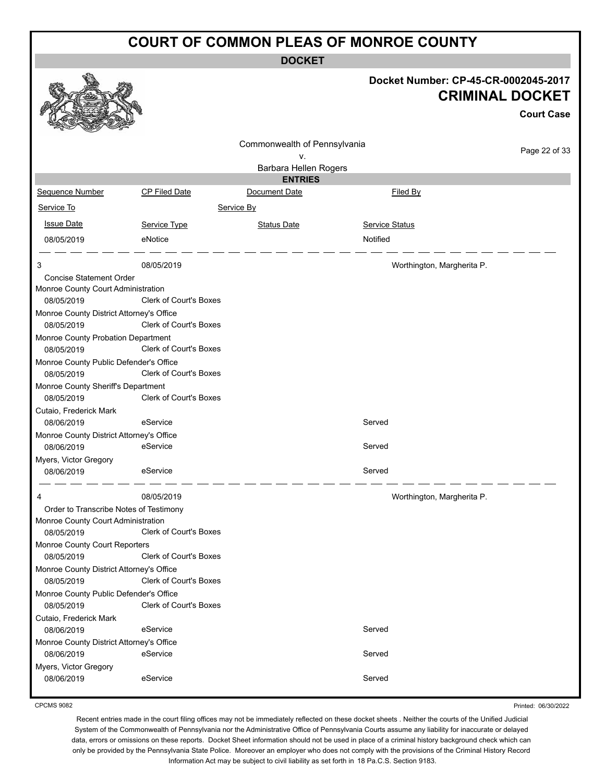**DOCKET**

|                                                        |                               | <b>DUUNEI</b>                   |                                      |                        |
|--------------------------------------------------------|-------------------------------|---------------------------------|--------------------------------------|------------------------|
|                                                        |                               |                                 | Docket Number: CP-45-CR-0002045-2017 | <b>CRIMINAL DOCKET</b> |
|                                                        |                               |                                 |                                      | <b>Court Case</b>      |
|                                                        |                               |                                 |                                      |                        |
|                                                        |                               | Commonwealth of Pennsylvania    |                                      | Page 22 of 33          |
|                                                        |                               | ٧.                              |                                      |                        |
|                                                        |                               | Barbara Hellen Rogers           |                                      |                        |
| Sequence Number                                        | <b>CP Filed Date</b>          | <b>ENTRIES</b><br>Document Date | Filed By                             |                        |
|                                                        |                               |                                 |                                      |                        |
| Service To                                             |                               | Service By                      |                                      |                        |
| <b>Issue Date</b>                                      | Service Type                  | <b>Status Date</b>              | <b>Service Status</b>                |                        |
| 08/05/2019                                             | eNotice                       |                                 | Notified                             |                        |
| 3                                                      | 08/05/2019                    |                                 | Worthington, Margherita P.           |                        |
| <b>Concise Statement Order</b>                         |                               |                                 |                                      |                        |
| Monroe County Court Administration                     |                               |                                 |                                      |                        |
| 08/05/2019                                             | <b>Clerk of Court's Boxes</b> |                                 |                                      |                        |
| Monroe County District Attorney's Office<br>08/05/2019 | Clerk of Court's Boxes        |                                 |                                      |                        |
| Monroe County Probation Department<br>08/05/2019       | Clerk of Court's Boxes        |                                 |                                      |                        |
| Monroe County Public Defender's Office<br>08/05/2019   | <b>Clerk of Court's Boxes</b> |                                 |                                      |                        |
| Monroe County Sheriff's Department                     |                               |                                 |                                      |                        |
| 08/05/2019                                             | Clerk of Court's Boxes        |                                 |                                      |                        |
| Cutaio, Frederick Mark                                 |                               |                                 |                                      |                        |
| 08/06/2019                                             | eService                      |                                 | Served                               |                        |
| Monroe County District Attorney's Office               |                               |                                 |                                      |                        |
| 08/06/2019                                             | eService                      |                                 | Served                               |                        |
| Myers, Victor Gregory<br>08/06/2019                    | eService                      |                                 | Served                               |                        |
|                                                        |                               |                                 |                                      |                        |
|                                                        | 08/05/2019                    |                                 | Worthington, Margherita P.           |                        |
| Order to Transcribe Notes of Testimony                 |                               |                                 |                                      |                        |
| Monroe County Court Administration                     |                               |                                 |                                      |                        |
| 08/05/2019<br>Monroe County Court Reporters            | <b>Clerk of Court's Boxes</b> |                                 |                                      |                        |
| 08/05/2019                                             | <b>Clerk of Court's Boxes</b> |                                 |                                      |                        |
| Monroe County District Attorney's Office               |                               |                                 |                                      |                        |
| 08/05/2019                                             | Clerk of Court's Boxes        |                                 |                                      |                        |
| Monroe County Public Defender's Office                 |                               |                                 |                                      |                        |
| 08/05/2019                                             | Clerk of Court's Boxes        |                                 |                                      |                        |
| Cutaio, Frederick Mark                                 |                               |                                 |                                      |                        |
| 08/06/2019                                             | eService                      |                                 | Served                               |                        |
| Monroe County District Attorney's Office               |                               |                                 |                                      |                        |
| 08/06/2019                                             | eService                      |                                 | Served                               |                        |
| Myers, Victor Gregory                                  | eService                      |                                 | Served                               |                        |
| 08/06/2019                                             |                               |                                 |                                      |                        |

CPCMS 9082

Printed: 06/30/2022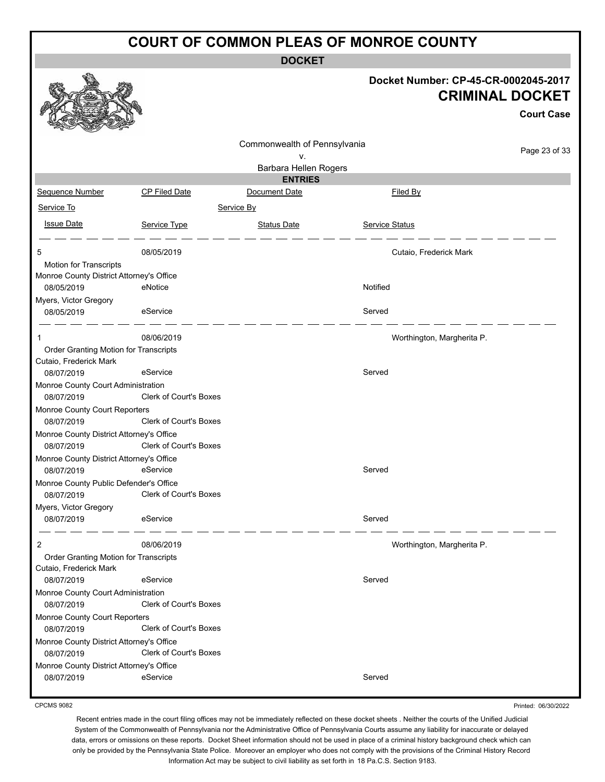**DOCKET**

|                                                        |                               |                              | Docket Number: CP-45-CR-0002045-2017 | <b>CRIMINAL DOCKET</b> |
|--------------------------------------------------------|-------------------------------|------------------------------|--------------------------------------|------------------------|
|                                                        |                               |                              |                                      | <b>Court Case</b>      |
|                                                        |                               | Commonwealth of Pennsylvania |                                      | Page 23 of 33          |
|                                                        |                               | ٧.<br>Barbara Hellen Rogers  |                                      |                        |
|                                                        |                               | <b>ENTRIES</b>               |                                      |                        |
| Sequence Number                                        | CP Filed Date                 | Document Date                | Filed By                             |                        |
| Service To                                             |                               | Service By                   |                                      |                        |
| <b>Issue Date</b>                                      | Service Type                  | <b>Status Date</b>           | <b>Service Status</b>                |                        |
| 5                                                      | 08/05/2019                    |                              | Cutaio, Frederick Mark               |                        |
| Motion for Transcripts                                 |                               |                              |                                      |                        |
| Monroe County District Attorney's Office<br>08/05/2019 | eNotice                       |                              | Notified                             |                        |
| Myers, Victor Gregory                                  |                               |                              |                                      |                        |
| 08/05/2019                                             | eService                      |                              | Served                               |                        |
|                                                        | 08/06/2019                    |                              | Worthington, Margherita P.           |                        |
| Order Granting Motion for Transcripts                  |                               |                              |                                      |                        |
| Cutaio, Frederick Mark                                 |                               |                              |                                      |                        |
| 08/07/2019                                             | eService                      |                              | Served                               |                        |
| Monroe County Court Administration                     |                               |                              |                                      |                        |
| 08/07/2019                                             | <b>Clerk of Court's Boxes</b> |                              |                                      |                        |
| Monroe County Court Reporters                          |                               |                              |                                      |                        |
| 08/07/2019                                             | Clerk of Court's Boxes        |                              |                                      |                        |
| Monroe County District Attorney's Office<br>08/07/2019 | Clerk of Court's Boxes        |                              |                                      |                        |
| Monroe County District Attorney's Office<br>08/07/2019 | eService                      |                              | Served                               |                        |
| Monroe County Public Defender's Office                 |                               |                              |                                      |                        |
| 08/07/2019                                             | Clerk of Court's Boxes        |                              |                                      |                        |
| Myers, Victor Gregory                                  |                               |                              |                                      |                        |
| 08/07/2019                                             | eService                      |                              | Served                               |                        |
| 2                                                      | 08/06/2019                    |                              | Worthington, Margherita P.           |                        |
| Order Granting Motion for Transcripts                  |                               |                              |                                      |                        |
| Cutaio, Frederick Mark                                 |                               |                              |                                      |                        |
| 08/07/2019                                             | eService                      |                              | Served                               |                        |
| Monroe County Court Administration<br>08/07/2019       | <b>Clerk of Court's Boxes</b> |                              |                                      |                        |
| Monroe County Court Reporters<br>08/07/2019            | <b>Clerk of Court's Boxes</b> |                              |                                      |                        |
| Monroe County District Attorney's Office<br>08/07/2019 | Clerk of Court's Boxes        |                              |                                      |                        |
| Monroe County District Attorney's Office               |                               |                              |                                      |                        |
| 08/07/2019                                             | eService                      |                              | Served                               |                        |

CPCMS 9082

Printed: 06/30/2022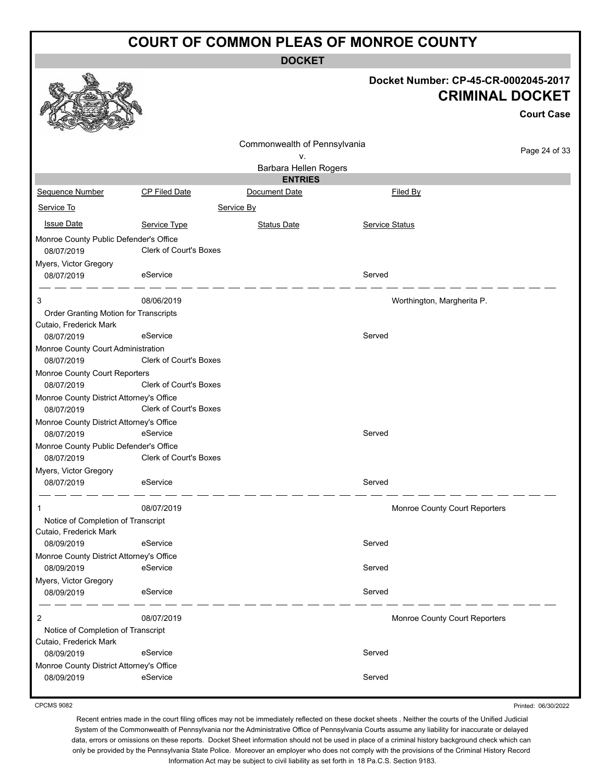**DOCKET**

|                                                                 |                               |                                 |                               | Docket Number: CP-45-CR-0002045-2017<br><b>CRIMINAL DOCKET</b><br><b>Court Case</b> |
|-----------------------------------------------------------------|-------------------------------|---------------------------------|-------------------------------|-------------------------------------------------------------------------------------|
|                                                                 |                               | Commonwealth of Pennsylvania    |                               |                                                                                     |
|                                                                 |                               | ۷.                              |                               | Page 24 of 33                                                                       |
|                                                                 |                               | Barbara Hellen Rogers           |                               |                                                                                     |
| Sequence Number                                                 | CP Filed Date                 | <b>ENTRIES</b><br>Document Date | Filed By                      |                                                                                     |
| Service To                                                      |                               |                                 |                               |                                                                                     |
|                                                                 |                               | Service By                      |                               |                                                                                     |
| <b>Issue Date</b>                                               | Service Type                  | <b>Status Date</b>              | <b>Service Status</b>         |                                                                                     |
| Monroe County Public Defender's Office                          | Clerk of Court's Boxes        |                                 |                               |                                                                                     |
| 08/07/2019<br>Myers, Victor Gregory                             |                               |                                 |                               |                                                                                     |
| 08/07/2019                                                      | eService                      |                                 | Served                        |                                                                                     |
| 3                                                               | 08/06/2019                    |                                 | Worthington, Margherita P.    |                                                                                     |
| Order Granting Motion for Transcripts<br>Cutaio, Frederick Mark |                               |                                 |                               |                                                                                     |
| 08/07/2019                                                      | eService                      |                                 | Served                        |                                                                                     |
| Monroe County Court Administration                              |                               |                                 |                               |                                                                                     |
| 08/07/2019                                                      | <b>Clerk of Court's Boxes</b> |                                 |                               |                                                                                     |
| Monroe County Court Reporters<br>08/07/2019                     | Clerk of Court's Boxes        |                                 |                               |                                                                                     |
| Monroe County District Attorney's Office                        |                               |                                 |                               |                                                                                     |
| 08/07/2019                                                      | Clerk of Court's Boxes        |                                 |                               |                                                                                     |
| Monroe County District Attorney's Office<br>08/07/2019          | eService                      |                                 | Served                        |                                                                                     |
| Monroe County Public Defender's Office<br>08/07/2019            | Clerk of Court's Boxes        |                                 |                               |                                                                                     |
| Myers, Victor Gregory                                           |                               |                                 |                               |                                                                                     |
| 08/07/2019                                                      | eService                      |                                 | Served                        |                                                                                     |
|                                                                 | 08/07/2019                    |                                 | Monroe County Court Reporters |                                                                                     |
| Notice of Completion of Transcript<br>Cutaio, Frederick Mark    |                               |                                 |                               |                                                                                     |
| 08/09/2019                                                      | eService                      |                                 | Served                        |                                                                                     |
| Monroe County District Attorney's Office                        |                               |                                 |                               |                                                                                     |
| 08/09/2019                                                      | eService                      |                                 | Served                        |                                                                                     |
| Myers, Victor Gregory<br>08/09/2019                             | eService                      |                                 | Served                        |                                                                                     |
| 2                                                               | 08/07/2019                    |                                 | Monroe County Court Reporters |                                                                                     |
| Notice of Completion of Transcript                              |                               |                                 |                               |                                                                                     |
| Cutaio, Frederick Mark<br>08/09/2019                            | eService                      |                                 | Served                        |                                                                                     |
| Monroe County District Attorney's Office                        |                               |                                 |                               |                                                                                     |
| 08/09/2019                                                      | eService                      |                                 | Served                        |                                                                                     |
|                                                                 |                               |                                 |                               |                                                                                     |

CPCMS 9082

Printed: 06/30/2022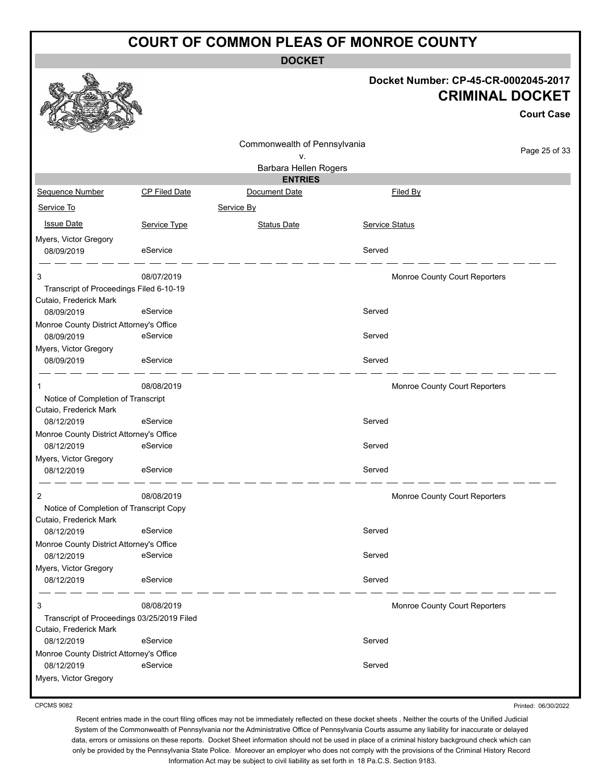**DOCKET**

#### **Docket Number: CP-45-CR-0002045-2017 CRIMINAL DOCKET**

**Court Case**

|                                            |                      |                              |                       |                               | ouurt oase    |
|--------------------------------------------|----------------------|------------------------------|-----------------------|-------------------------------|---------------|
|                                            |                      | Commonwealth of Pennsylvania |                       |                               |               |
|                                            |                      | ۷.                           |                       |                               | Page 25 of 33 |
|                                            |                      | Barbara Hellen Rogers        |                       |                               |               |
|                                            |                      | <b>ENTRIES</b>               |                       |                               |               |
| Sequence Number                            | <b>CP Filed Date</b> | Document Date                | Filed By              |                               |               |
| Service To                                 |                      | Service By                   |                       |                               |               |
| <b>Issue Date</b>                          | Service Type         | <b>Status Date</b>           | <b>Service Status</b> |                               |               |
| Myers, Victor Gregory                      |                      |                              |                       |                               |               |
| 08/09/2019                                 | eService             |                              | Served                |                               |               |
| 3                                          | 08/07/2019           |                              |                       | Monroe County Court Reporters |               |
| Transcript of Proceedings Filed 6-10-19    |                      |                              |                       |                               |               |
| Cutaio, Frederick Mark                     |                      |                              |                       |                               |               |
| 08/09/2019                                 | eService             |                              | Served                |                               |               |
| Monroe County District Attorney's Office   |                      |                              |                       |                               |               |
| 08/09/2019                                 | eService             |                              | Served                |                               |               |
| Myers, Victor Gregory                      |                      |                              |                       |                               |               |
| 08/09/2019                                 | eService             |                              | Served                |                               |               |
|                                            |                      |                              |                       |                               |               |
| 1                                          | 08/08/2019           |                              |                       | Monroe County Court Reporters |               |
| Notice of Completion of Transcript         |                      |                              |                       |                               |               |
| Cutaio, Frederick Mark                     |                      |                              |                       |                               |               |
| 08/12/2019                                 | eService             |                              | Served                |                               |               |
| Monroe County District Attorney's Office   |                      |                              |                       |                               |               |
| 08/12/2019                                 | eService             |                              | Served                |                               |               |
| Myers, Victor Gregory                      |                      |                              |                       |                               |               |
| 08/12/2019                                 | eService             |                              | Served                |                               |               |
| 2                                          | 08/08/2019           |                              |                       | Monroe County Court Reporters |               |
| Notice of Completion of Transcript Copy    |                      |                              |                       |                               |               |
| Cutaio, Frederick Mark                     |                      |                              |                       |                               |               |
| 08/12/2019                                 | eService             |                              | Served                |                               |               |
| Monroe County District Attorney's Office   |                      |                              |                       |                               |               |
| 08/12/2019                                 | eService             |                              | Served                |                               |               |
| Myers, Victor Gregory                      |                      |                              |                       |                               |               |
| 08/12/2019                                 | eService             |                              | Served                |                               |               |
| 3                                          | 08/08/2019           |                              |                       | Monroe County Court Reporters |               |
| Transcript of Proceedings 03/25/2019 Filed |                      |                              |                       |                               |               |
| Cutaio, Frederick Mark                     |                      |                              |                       |                               |               |
| 08/12/2019                                 | eService             |                              | Served                |                               |               |
| Monroe County District Attorney's Office   |                      |                              |                       |                               |               |
| 08/12/2019                                 | eService             |                              | Served                |                               |               |
| Myers, Victor Gregory                      |                      |                              |                       |                               |               |
|                                            |                      |                              |                       |                               |               |

CPCMS 9082

Printed: 06/30/2022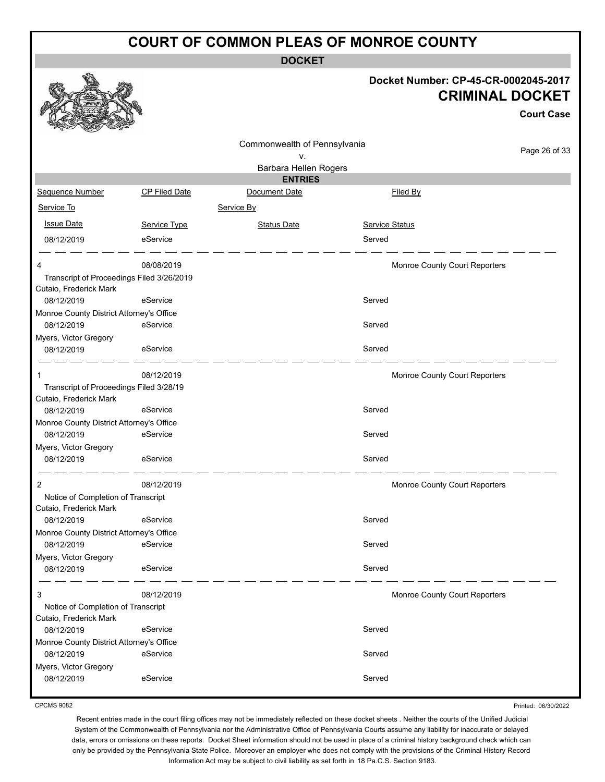**DOCKET**

#### **Docket Number: CP-45-CR-0002045-2017 CRIMINAL DOCKET**

**Court Case**

| <b>SELLER</b><br>$-2$                                  |               |                              |                               |               |
|--------------------------------------------------------|---------------|------------------------------|-------------------------------|---------------|
|                                                        |               | Commonwealth of Pennsylvania |                               | Page 26 of 33 |
|                                                        |               | ٧.                           |                               |               |
|                                                        |               | Barbara Hellen Rogers        |                               |               |
|                                                        |               | <b>ENTRIES</b>               |                               |               |
| Sequence Number                                        | CP Filed Date | Document Date                | Filed By                      |               |
| Service To                                             |               | Service By                   |                               |               |
| <b>Issue Date</b>                                      | Service Type  | <b>Status Date</b>           | <b>Service Status</b>         |               |
| 08/12/2019                                             | eService      |                              | Served                        |               |
| 4                                                      | 08/08/2019    |                              | Monroe County Court Reporters |               |
| Transcript of Proceedings Filed 3/26/2019              |               |                              |                               |               |
| Cutaio, Frederick Mark                                 | eService      |                              | Served                        |               |
| 08/12/2019                                             |               |                              |                               |               |
| Monroe County District Attorney's Office<br>08/12/2019 | eService      |                              | Served                        |               |
| Myers, Victor Gregory                                  |               |                              |                               |               |
| 08/12/2019                                             | eService      |                              | Served                        |               |
|                                                        | 08/12/2019    |                              | Monroe County Court Reporters |               |
| Transcript of Proceedings Filed 3/28/19                |               |                              |                               |               |
| Cutaio, Frederick Mark                                 |               |                              |                               |               |
| 08/12/2019                                             | eService      |                              | Served                        |               |
| Monroe County District Attorney's Office<br>08/12/2019 | eService      |                              | Served                        |               |
| Myers, Victor Gregory                                  |               |                              |                               |               |
| 08/12/2019                                             | eService      |                              | Served                        |               |
| 2                                                      | 08/12/2019    |                              | Monroe County Court Reporters |               |
| Notice of Completion of Transcript                     |               |                              |                               |               |
| Cutaio, Frederick Mark                                 |               |                              |                               |               |
| 08/12/2019                                             | eService      |                              | Served                        |               |
| Monroe County District Attorney's Office               |               |                              |                               |               |
| 08/12/2019                                             | eService      |                              | Served                        |               |
| Myers, Victor Gregory<br>08/12/2019                    | eService      |                              | Served                        |               |
| 3                                                      | 08/12/2019    |                              | Monroe County Court Reporters |               |
| Notice of Completion of Transcript                     |               |                              |                               |               |
| Cutaio, Frederick Mark                                 |               |                              |                               |               |
| 08/12/2019                                             | eService      |                              | Served                        |               |
| Monroe County District Attorney's Office               | eService      |                              |                               |               |
| 08/12/2019                                             |               |                              | Served                        |               |
| Myers, Victor Gregory<br>08/12/2019                    | eService      |                              | Served                        |               |
|                                                        |               |                              |                               |               |

CPCMS 9082

Printed: 06/30/2022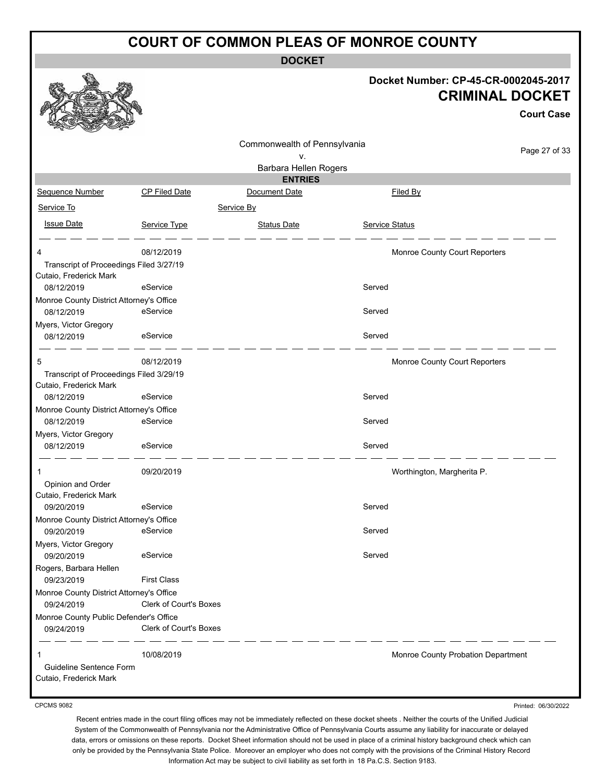**DOCKET**

#### **Docket Number: CP-45-CR-0002045-2017 CRIMINAL DOCKET**

**Court Case**

Printed: 06/30/2022

|                                                                   |                               | Commonwealth of Pennsylvania |                                    |               |
|-------------------------------------------------------------------|-------------------------------|------------------------------|------------------------------------|---------------|
|                                                                   |                               | ٧.                           |                                    | Page 27 of 33 |
|                                                                   |                               | Barbara Hellen Rogers        |                                    |               |
|                                                                   |                               | <b>ENTRIES</b>               |                                    |               |
| Sequence Number                                                   | <b>CP Filed Date</b>          | Document Date                | Filed By                           |               |
| Service To                                                        |                               | Service By                   |                                    |               |
| <b>Issue Date</b>                                                 | Service Type                  | <b>Status Date</b>           | Service Status                     |               |
| 4                                                                 | 08/12/2019                    |                              | Monroe County Court Reporters      |               |
| Transcript of Proceedings Filed 3/27/19<br>Cutaio, Frederick Mark |                               |                              |                                    |               |
| 08/12/2019                                                        | eService                      |                              | Served                             |               |
| Monroe County District Attorney's Office<br>08/12/2019            | eService                      |                              | Served                             |               |
| Myers, Victor Gregory                                             |                               |                              |                                    |               |
| 08/12/2019                                                        | eService                      |                              | Served                             |               |
| 5                                                                 | 08/12/2019                    |                              | Monroe County Court Reporters      |               |
| Transcript of Proceedings Filed 3/29/19<br>Cutaio, Frederick Mark |                               |                              |                                    |               |
| 08/12/2019                                                        | eService                      |                              | Served                             |               |
| Monroe County District Attorney's Office                          |                               |                              |                                    |               |
| 08/12/2019                                                        | eService                      |                              | Served                             |               |
| Myers, Victor Gregory                                             |                               |                              |                                    |               |
| 08/12/2019                                                        | eService                      |                              | Served                             |               |
| 1                                                                 | 09/20/2019                    |                              | Worthington, Margherita P.         |               |
| Opinion and Order                                                 |                               |                              |                                    |               |
| Cutaio, Frederick Mark<br>09/20/2019                              | eService                      |                              | Served                             |               |
| Monroe County District Attorney's Office                          |                               |                              |                                    |               |
| 09/20/2019                                                        | eService                      |                              | Served                             |               |
| Myers, Victor Gregory                                             |                               |                              |                                    |               |
| 09/20/2019                                                        | eService                      |                              | Served                             |               |
| Rogers, Barbara Hellen<br>09/23/2019                              | <b>First Class</b>            |                              |                                    |               |
| Monroe County District Attorney's Office                          |                               |                              |                                    |               |
| 09/24/2019                                                        | Clerk of Court's Boxes        |                              |                                    |               |
| Monroe County Public Defender's Office                            |                               |                              |                                    |               |
| 09/24/2019                                                        | <b>Clerk of Court's Boxes</b> |                              |                                    |               |
|                                                                   | 10/08/2019                    |                              | Monroe County Probation Department |               |
| Guideline Sentence Form                                           |                               |                              |                                    |               |
| Cutaio, Frederick Mark                                            |                               |                              |                                    |               |
|                                                                   |                               |                              |                                    |               |

CPCMS 9082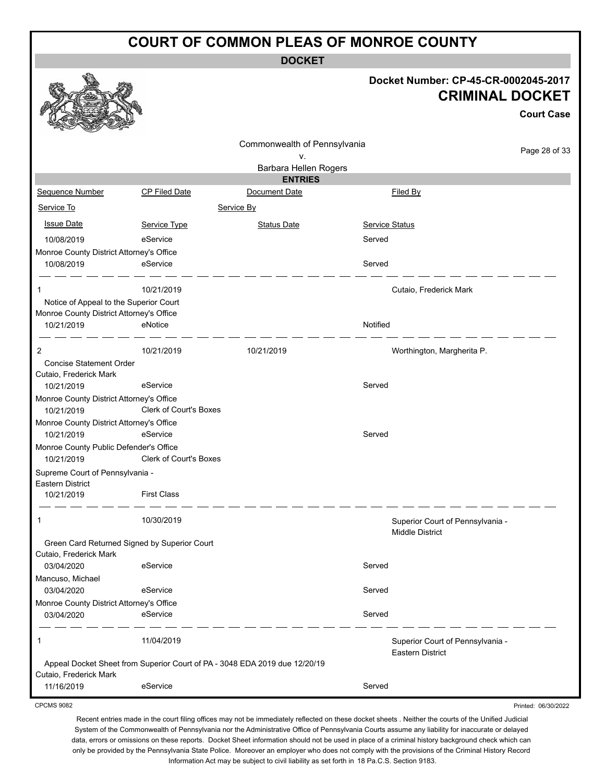**DOCKET**

#### **Docket Number: CP-45-CR-0002045-2017 CRIMINAL DOCKET**

**Court Case**

Printed: 06/30/2022

|                                                        |                                                                            |                                         |                                                             | <b>Court Case</b> |
|--------------------------------------------------------|----------------------------------------------------------------------------|-----------------------------------------|-------------------------------------------------------------|-------------------|
|                                                        |                                                                            | Commonwealth of Pennsylvania            |                                                             | Page 28 of 33     |
|                                                        |                                                                            | ۷.                                      |                                                             |                   |
|                                                        |                                                                            | Barbara Hellen Rogers<br><b>ENTRIES</b> |                                                             |                   |
| Sequence Number                                        | CP Filed Date                                                              | Document Date                           | Filed By                                                    |                   |
| Service To                                             |                                                                            | Service By                              |                                                             |                   |
| <b>Issue Date</b>                                      | Service Type                                                               | <b>Status Date</b>                      | Service Status                                              |                   |
| 10/08/2019                                             | eService                                                                   |                                         | Served                                                      |                   |
| Monroe County District Attorney's Office               |                                                                            |                                         |                                                             |                   |
| 10/08/2019                                             | eService                                                                   |                                         | Served                                                      |                   |
| 1                                                      | 10/21/2019                                                                 |                                         | Cutaio, Frederick Mark                                      |                   |
| Notice of Appeal to the Superior Court                 |                                                                            |                                         |                                                             |                   |
| Monroe County District Attorney's Office               |                                                                            |                                         |                                                             |                   |
| 10/21/2019                                             | eNotice                                                                    |                                         | Notified                                                    |                   |
| 2                                                      | 10/21/2019                                                                 | 10/21/2019                              | Worthington, Margherita P.                                  |                   |
| <b>Concise Statement Order</b>                         |                                                                            |                                         |                                                             |                   |
| Cutaio, Frederick Mark                                 |                                                                            |                                         |                                                             |                   |
| 10/21/2019                                             | eService                                                                   |                                         | Served                                                      |                   |
| Monroe County District Attorney's Office<br>10/21/2019 | <b>Clerk of Court's Boxes</b>                                              |                                         |                                                             |                   |
| Monroe County District Attorney's Office               |                                                                            |                                         |                                                             |                   |
| 10/21/2019                                             | eService                                                                   |                                         | Served                                                      |                   |
| Monroe County Public Defender's Office                 |                                                                            |                                         |                                                             |                   |
| 10/21/2019                                             | <b>Clerk of Court's Boxes</b>                                              |                                         |                                                             |                   |
| Supreme Court of Pennsylvania -<br>Eastern District    |                                                                            |                                         |                                                             |                   |
| 10/21/2019                                             | <b>First Class</b>                                                         |                                         |                                                             |                   |
| 1                                                      | 10/30/2019                                                                 |                                         | Superior Court of Pennsylvania -<br><b>Middle District</b>  |                   |
|                                                        | Green Card Returned Signed by Superior Court                               |                                         |                                                             |                   |
| Cutaio, Frederick Mark                                 |                                                                            |                                         |                                                             |                   |
| 03/04/2020                                             | eService                                                                   |                                         | Served                                                      |                   |
| Mancuso, Michael                                       |                                                                            |                                         |                                                             |                   |
| 03/04/2020                                             | eService                                                                   |                                         | Served                                                      |                   |
| Monroe County District Attorney's Office               |                                                                            |                                         |                                                             |                   |
| 03/04/2020                                             | eService                                                                   |                                         | Served                                                      |                   |
| 1                                                      | 11/04/2019                                                                 |                                         | Superior Court of Pennsylvania -<br><b>Eastern District</b> |                   |
| Cutaio, Frederick Mark                                 | Appeal Docket Sheet from Superior Court of PA - 3048 EDA 2019 due 12/20/19 |                                         |                                                             |                   |
| 11/16/2019                                             | eService                                                                   |                                         | Served                                                      |                   |

CPCMS 9082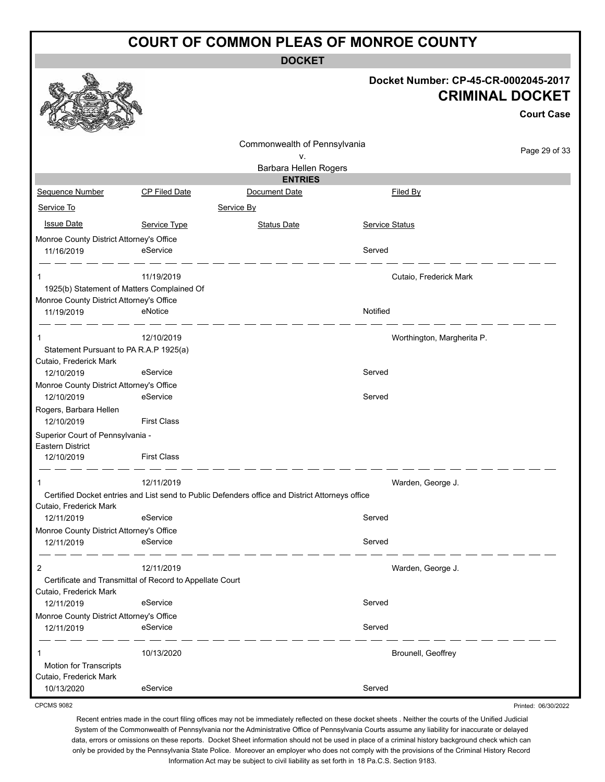**DOCKET**

|                                                                                         |                      |                                                                                                 |                       | Docket Number: CP-45-CR-0002045-2017<br><b>CRIMINAL DOCKET</b><br><b>Court Case</b> |
|-----------------------------------------------------------------------------------------|----------------------|-------------------------------------------------------------------------------------------------|-----------------------|-------------------------------------------------------------------------------------|
|                                                                                         |                      | Commonwealth of Pennsylvania                                                                    |                       | Page 29 of 33                                                                       |
|                                                                                         |                      | v.<br>Barbara Hellen Rogers                                                                     |                       |                                                                                     |
|                                                                                         |                      | <b>ENTRIES</b>                                                                                  |                       |                                                                                     |
| Sequence Number                                                                         | <b>CP Filed Date</b> | Document Date                                                                                   |                       | Filed By                                                                            |
| Service To                                                                              |                      | Service By                                                                                      |                       |                                                                                     |
| <b>Issue Date</b>                                                                       | Service Type         | <b>Status Date</b>                                                                              | <b>Service Status</b> |                                                                                     |
| Monroe County District Attorney's Office<br>11/16/2019                                  | eService             |                                                                                                 | Served                |                                                                                     |
| 1<br>1925(b) Statement of Matters Complained Of                                         | 11/19/2019           |                                                                                                 |                       | Cutaio, Frederick Mark                                                              |
| Monroe County District Attorney's Office<br>11/19/2019                                  | eNotice              |                                                                                                 | Notified              |                                                                                     |
| 1<br>Statement Pursuant to PA R.A.P 1925(a)<br>Cutaio, Frederick Mark                   | 12/10/2019           |                                                                                                 |                       | Worthington, Margherita P.                                                          |
| 12/10/2019                                                                              | eService             |                                                                                                 | Served                |                                                                                     |
| Monroe County District Attorney's Office<br>12/10/2019                                  | eService             |                                                                                                 | Served                |                                                                                     |
| Rogers, Barbara Hellen<br>12/10/2019                                                    | <b>First Class</b>   |                                                                                                 |                       |                                                                                     |
| Superior Court of Pennsylvania -<br>Eastern District<br>12/10/2019                      | <b>First Class</b>   |                                                                                                 |                       |                                                                                     |
|                                                                                         | 12/11/2019           | Certified Docket entries and List send to Public Defenders office and District Attorneys office |                       | Warden, George J.                                                                   |
| Cutaio, Frederick Mark<br>12/11/2019                                                    | eService             |                                                                                                 | Served                |                                                                                     |
| Monroe County District Attorney's Office<br>12/11/2019                                  | eService             |                                                                                                 | Served                |                                                                                     |
| 2<br>Certificate and Transmittal of Record to Appellate Court<br>Cutaio, Frederick Mark | 12/11/2019           |                                                                                                 |                       | Warden, George J.                                                                   |
| 12/11/2019                                                                              | eService             |                                                                                                 | Served                |                                                                                     |
| Monroe County District Attorney's Office<br>12/11/2019                                  | eService             |                                                                                                 | Served                |                                                                                     |
| 1<br><b>Motion for Transcripts</b><br>Cutaio, Frederick Mark                            | 10/13/2020           |                                                                                                 |                       | Brounell, Geoffrey                                                                  |
| 10/13/2020                                                                              | eService             |                                                                                                 | Served                |                                                                                     |
| <b>CPCMS 9082</b>                                                                       |                      |                                                                                                 |                       | Printed: 06/30/2022                                                                 |

CPCMS 9082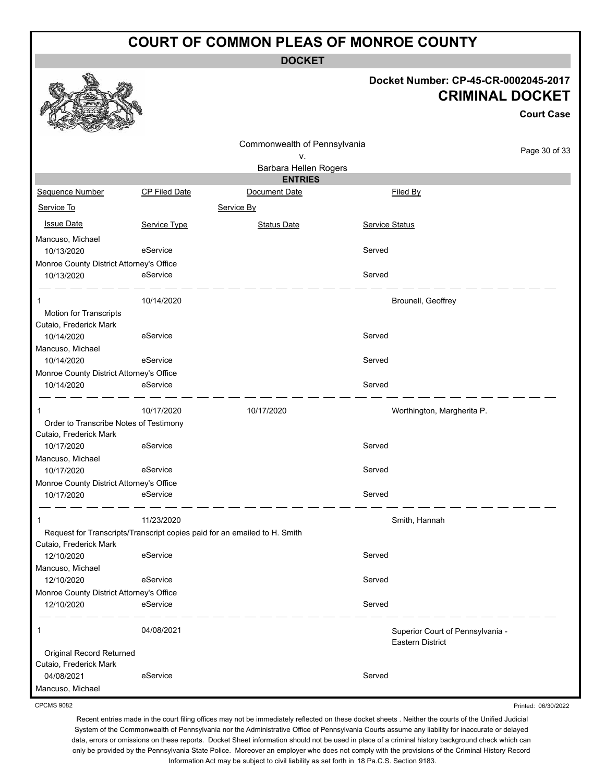**DOCKET**

### **Docket Number: CP-45-CR-0002045-2017 CRIMINAL DOCKET**

**Court Case**

Printed: 06/30/2022

|                                                  |                      |                                                                           |                |                                                             | GUULL GASA    |
|--------------------------------------------------|----------------------|---------------------------------------------------------------------------|----------------|-------------------------------------------------------------|---------------|
|                                                  |                      | Commonwealth of Pennsylvania                                              |                |                                                             |               |
|                                                  |                      | ۷.                                                                        |                |                                                             | Page 30 of 33 |
|                                                  |                      | Barbara Hellen Rogers                                                     |                |                                                             |               |
|                                                  |                      | <b>ENTRIES</b>                                                            |                |                                                             |               |
| Sequence Number                                  | <b>CP Filed Date</b> | Document Date                                                             |                | Filed By                                                    |               |
| Service To                                       |                      | Service By                                                                |                |                                                             |               |
| <b>Issue Date</b>                                | Service Type         | <b>Status Date</b>                                                        | Service Status |                                                             |               |
| Mancuso, Michael                                 |                      |                                                                           |                |                                                             |               |
| 10/13/2020                                       | eService             |                                                                           | Served         |                                                             |               |
| Monroe County District Attorney's Office         |                      |                                                                           |                |                                                             |               |
| 10/13/2020                                       | eService             |                                                                           | Served         |                                                             |               |
|                                                  | 10/14/2020           |                                                                           |                | Brounell, Geoffrey                                          |               |
| Motion for Transcripts<br>Cutaio, Frederick Mark |                      |                                                                           |                |                                                             |               |
| 10/14/2020                                       | eService             |                                                                           | Served         |                                                             |               |
| Mancuso, Michael                                 |                      |                                                                           |                |                                                             |               |
| 10/14/2020                                       | eService             |                                                                           | Served         |                                                             |               |
| Monroe County District Attorney's Office         |                      |                                                                           |                |                                                             |               |
| 10/14/2020                                       | eService             |                                                                           | Served         |                                                             |               |
| 1                                                | 10/17/2020           | 10/17/2020                                                                |                | Worthington, Margherita P.                                  |               |
| Order to Transcribe Notes of Testimony           |                      |                                                                           |                |                                                             |               |
| Cutaio, Frederick Mark                           |                      |                                                                           |                |                                                             |               |
| 10/17/2020                                       | eService             |                                                                           | Served         |                                                             |               |
| Mancuso, Michael                                 |                      |                                                                           |                |                                                             |               |
| 10/17/2020                                       | eService             |                                                                           | Served         |                                                             |               |
| Monroe County District Attorney's Office         |                      |                                                                           |                |                                                             |               |
| 10/17/2020                                       | eService             |                                                                           | Served         |                                                             |               |
| 1                                                | 11/23/2020           |                                                                           |                | Smith, Hannah                                               |               |
|                                                  |                      | Request for Transcripts/Transcript copies paid for an emailed to H. Smith |                |                                                             |               |
| Cutaio, Frederick Mark<br>12/10/2020             | eService             |                                                                           | Served         |                                                             |               |
| Mancuso, Michael                                 |                      |                                                                           |                |                                                             |               |
| 12/10/2020                                       | eService             |                                                                           | Served         |                                                             |               |
| Monroe County District Attorney's Office         |                      |                                                                           |                |                                                             |               |
| 12/10/2020                                       | eService             |                                                                           | Served         |                                                             |               |
|                                                  |                      |                                                                           |                |                                                             |               |
| 1                                                | 04/08/2021           |                                                                           |                | Superior Court of Pennsylvania -<br><b>Eastern District</b> |               |
| Original Record Returned                         |                      |                                                                           |                |                                                             |               |
| Cutaio, Frederick Mark                           |                      |                                                                           |                |                                                             |               |
| 04/08/2021                                       | eService             |                                                                           | Served         |                                                             |               |
| Mancuso, Michael                                 |                      |                                                                           |                |                                                             |               |

CPCMS 9082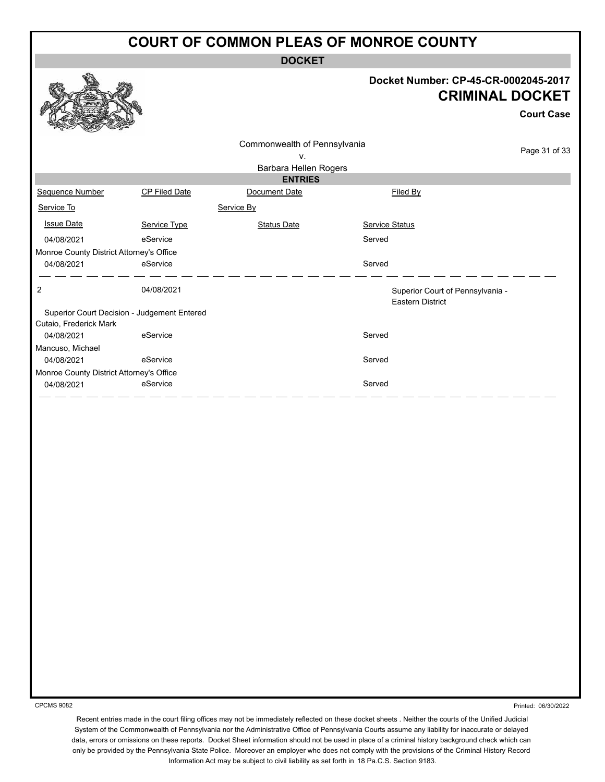**DOCKET**

#### **Docket Number: CP-45-CR-0002045-2017 CRIMINAL DOCKET**

**Court Case**

| Commonwealth of Pennsylvania<br>v.<br>Barbara Hellen Rogers |                      |                    |                                                             |  |
|-------------------------------------------------------------|----------------------|--------------------|-------------------------------------------------------------|--|
|                                                             |                      | <b>ENTRIES</b>     |                                                             |  |
| Sequence Number                                             | <b>CP Filed Date</b> | Document Date      | Filed By                                                    |  |
| Service To                                                  |                      | Service By         |                                                             |  |
| <b>Issue Date</b>                                           | Service Type         | <b>Status Date</b> | <b>Service Status</b>                                       |  |
| 04/08/2021                                                  | eService             |                    | Served                                                      |  |
| Monroe County District Attorney's Office                    |                      |                    |                                                             |  |
| 04/08/2021                                                  | eService             |                    | Served                                                      |  |
| $\overline{c}$                                              | 04/08/2021           |                    | Superior Court of Pennsylvania -<br><b>Eastern District</b> |  |
| Superior Court Decision - Judgement Entered                 |                      |                    |                                                             |  |
| Cutaio, Frederick Mark                                      |                      |                    |                                                             |  |
| 04/08/2021                                                  | eService             |                    | Served                                                      |  |
| Mancuso, Michael                                            |                      |                    |                                                             |  |
| 04/08/2021                                                  | eService             |                    | Served                                                      |  |
| Monroe County District Attorney's Office                    |                      |                    |                                                             |  |
| 04/08/2021                                                  | eService             |                    | Served                                                      |  |
|                                                             |                      |                    |                                                             |  |

CPCMS 9082

Printed: 06/30/2022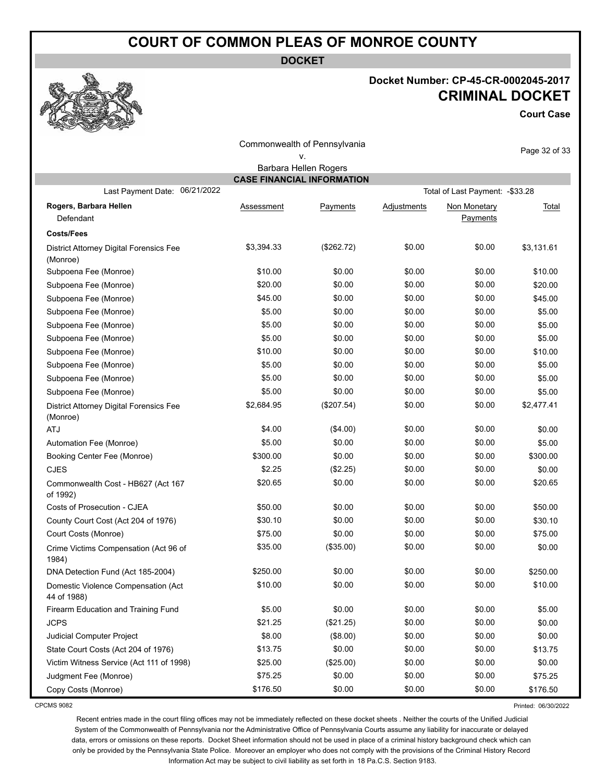**DOCKET**

### **Docket Number: CP-45-CR-0002045-2017 CRIMINAL DOCKET**

**Court Case**

| Commonwealth of Pennsylvania                        |                                   |                       |                    |                                  |               |
|-----------------------------------------------------|-----------------------------------|-----------------------|--------------------|----------------------------------|---------------|
|                                                     |                                   | ٧.                    |                    |                                  | Page 32 of 33 |
|                                                     |                                   | Barbara Hellen Rogers |                    |                                  |               |
|                                                     | <b>CASE FINANCIAL INFORMATION</b> |                       |                    |                                  |               |
| 06/21/2022<br>Last Payment Date:                    |                                   |                       |                    | Total of Last Payment: - \$33.28 |               |
| Rogers, Barbara Hellen                              | Assessment                        | Payments              | <b>Adjustments</b> | Non Monetary                     | <b>Total</b>  |
| Defendant                                           |                                   |                       |                    | Payments                         |               |
| <b>Costs/Fees</b>                                   |                                   |                       |                    |                                  |               |
| District Attorney Digital Forensics Fee<br>(Monroe) | \$3,394.33                        | (\$262.72)            | \$0.00             | \$0.00                           | \$3,131.61    |
| Subpoena Fee (Monroe)                               | \$10.00                           | \$0.00                | \$0.00             | \$0.00                           | \$10.00       |
| Subpoena Fee (Monroe)                               | \$20.00                           | \$0.00                | \$0.00             | \$0.00                           | \$20.00       |
| Subpoena Fee (Monroe)                               | \$45.00                           | \$0.00                | \$0.00             | \$0.00                           | \$45.00       |
| Subpoena Fee (Monroe)                               | \$5.00                            | \$0.00                | \$0.00             | \$0.00                           | \$5.00        |
| Subpoena Fee (Monroe)                               | \$5.00                            | \$0.00                | \$0.00             | \$0.00                           | \$5.00        |
| Subpoena Fee (Monroe)                               | \$5.00                            | \$0.00                | \$0.00             | \$0.00                           | \$5.00        |
| Subpoena Fee (Monroe)                               | \$10.00                           | \$0.00                | \$0.00             | \$0.00                           | \$10.00       |
| Subpoena Fee (Monroe)                               | \$5.00                            | \$0.00                | \$0.00             | \$0.00                           | \$5.00        |
| Subpoena Fee (Monroe)                               | \$5.00                            | \$0.00                | \$0.00             | \$0.00                           | \$5.00        |
| Subpoena Fee (Monroe)                               | \$5.00                            | \$0.00                | \$0.00             | \$0.00                           | \$5.00        |
| District Attorney Digital Forensics Fee<br>(Monroe) | \$2,684.95                        | (\$207.54)            | \$0.00             | \$0.00                           | \$2,477.41    |
| <b>ATJ</b>                                          | \$4.00                            | (\$4.00)              | \$0.00             | \$0.00                           | \$0.00        |
| Automation Fee (Monroe)                             | \$5.00                            | \$0.00                | \$0.00             | \$0.00                           | \$5.00        |
| Booking Center Fee (Monroe)                         | \$300.00                          | \$0.00                | \$0.00             | \$0.00                           | \$300.00      |
| <b>CJES</b>                                         | \$2.25                            | (\$2.25)              | \$0.00             | \$0.00                           | \$0.00        |
| Commonwealth Cost - HB627 (Act 167<br>of 1992)      | \$20.65                           | \$0.00                | \$0.00             | \$0.00                           | \$20.65       |
| Costs of Prosecution - CJEA                         | \$50.00                           | \$0.00                | \$0.00             | \$0.00                           | \$50.00       |
| County Court Cost (Act 204 of 1976)                 | \$30.10                           | \$0.00                | \$0.00             | \$0.00                           | \$30.10       |
| Court Costs (Monroe)                                | \$75.00                           | \$0.00                | \$0.00             | \$0.00                           | \$75.00       |
| Crime Victims Compensation (Act 96 of<br>1984)      | \$35.00                           | (\$35.00)             | \$0.00             | \$0.00                           | \$0.00        |
| DNA Detection Fund (Act 185-2004)                   | \$250.00                          | \$0.00                | \$0.00             | \$0.00                           | \$250.00      |
| Domestic Violence Compensation (Act<br>44 of 1988)  | \$10.00                           | \$0.00                | \$0.00             | \$0.00                           | \$10.00       |
| Firearm Education and Training Fund                 | \$5.00                            | \$0.00                | \$0.00             | \$0.00                           | \$5.00        |
| <b>JCPS</b>                                         | \$21.25                           | (\$21.25)             | \$0.00             | \$0.00                           | \$0.00        |
| Judicial Computer Project                           | \$8.00                            | (\$8.00)              | \$0.00             | \$0.00                           | \$0.00        |
| State Court Costs (Act 204 of 1976)                 | \$13.75                           | \$0.00                | \$0.00             | \$0.00                           | \$13.75       |
| Victim Witness Service (Act 111 of 1998)            | \$25.00                           | (\$25.00)             | \$0.00             | \$0.00                           | \$0.00        |
| Judgment Fee (Monroe)                               | \$75.25                           | \$0.00                | \$0.00             | \$0.00                           | \$75.25       |
| Copy Costs (Monroe)                                 | \$176.50                          | \$0.00                | \$0.00             | \$0.00                           | \$176.50      |

CPCMS 9082

Printed: 06/30/2022